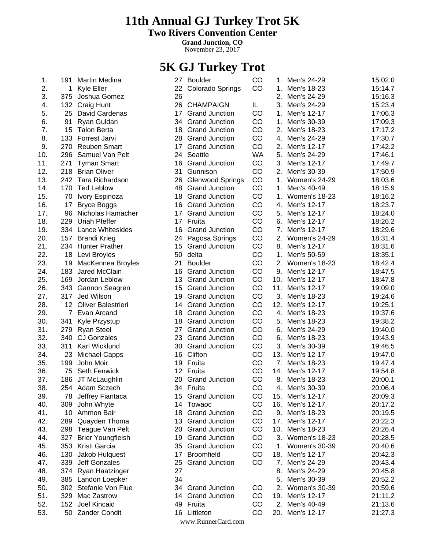# **11th Annual GJ Turkey Trot 5K**

**Two Rivers Convention Center**

**Grand Junction, CO**

November 23, 2017

# **5K GJ Turkey Trot**

| 1.  | 191             | <b>Martin Medina</b>     | 27 | <b>Boulder</b>          | CO        | 1.  | Men's 24-29          | 15:02.0 |
|-----|-----------------|--------------------------|----|-------------------------|-----------|-----|----------------------|---------|
| 2.  | 1.              | Kyle Eller               | 22 | Colorado Springs        | CO        | 1.  | Men's 18-23          | 15:14.7 |
| 3.  | 375             | Joshua Gomez             | 26 |                         |           | 2.  | Men's 24-29          | 15:16.3 |
| 4.  | 132             | Craig Hunt               | 26 | <b>CHAMPAIGN</b>        | IL        | 3.  | Men's 24-29          | 15:23.4 |
| 5.  | 25              | David Cardenas           | 17 | <b>Grand Junction</b>   | CO        | 1.  | Men's 12-17          | 17:06.3 |
| 6.  | 91              | Ryan Guldan              | 34 | <b>Grand Junction</b>   | CO        | 1.  | Men's 30-39          | 17:09.3 |
| 7.  | 15              | <b>Talon Berta</b>       | 18 | <b>Grand Junction</b>   | CO        | 2.  | Men's 18-23          | 17:17.2 |
| 8.  | 133             | Forrest Jarvi            | 28 | <b>Grand Junction</b>   | CO        | 4.  | Men's 24-29          | 17:30.7 |
| 9.  | 270             | <b>Reuben Smart</b>      | 17 | <b>Grand Junction</b>   | CO        | 2.  | Men's 12-17          | 17:42.2 |
| 10. | 296             | Samuel Van Pelt          | 24 | Seattle                 | <b>WA</b> | 5.  | Men's 24-29          | 17:46.1 |
| 11. | 271             | <b>Tyman Smart</b>       | 16 | <b>Grand Junction</b>   | CO        | 3.  | Men's 12-17          | 17:49.7 |
| 12. | 218             | <b>Brian Oliver</b>      | 31 | Gunnison                | CO        | 2.  | Men's 30-39          | 17:50.9 |
| 13. | 242             | Tara Richardson          | 26 | <b>Glenwood Springs</b> | CO        | 1.  | <b>Women's 24-29</b> | 18:03.6 |
| 14. | 170             | <b>Ted Leblow</b>        | 48 | <b>Grand Junction</b>   | CO        | 1.  | Men's 40-49          | 18:15.9 |
| 15. | 70              | Ivory Espinoza           | 18 | <b>Grand Junction</b>   | CO        | 1.  | Women's 18-23        | 18:16.2 |
| 16. | 17              | <b>Bryce Boggs</b>       | 16 | <b>Grand Junction</b>   | CO        | 4.  | Men's 12-17          | 18:23.7 |
| 17. | 96              | Nicholas Hamacher        | 17 | <b>Grand Junction</b>   | CO        | 5.  | Men's 12-17          | 18:24.0 |
| 18. | 229             | Uriah Pfeffer            | 17 | Fruita                  | CO        | 6.  | Men's 12-17          | 18:26.2 |
| 19. |                 | 334 Lance Whitesides     | 16 | <b>Grand Junction</b>   | CO        | 7.  | Men's 12-17          | 18:29.6 |
| 20. | 157             | <b>Brandi Krieg</b>      | 24 | Pagosa Springs          | CO        | 2.  | <b>Women's 24-29</b> | 18:31.4 |
| 21. |                 | 234 Hunter Prather       | 15 | <b>Grand Junction</b>   | CO        | 8.  | Men's 12-17          | 18:31.6 |
| 22. | 18              | Levi Broyles             | 50 | delta                   | CO        | 1.  | Men's 50-59          | 18:35.1 |
| 23. | 19              | MacKennea Broyles        | 21 | <b>Boulder</b>          | CO        | 2.  | Women's 18-23        | 18:42.4 |
| 24. | 183             | Jared McClain            | 16 | <b>Grand Junction</b>   | CO        | 9.  | Men's 12-17          | 18:47.5 |
| 25. | 169             | Jordan Leblow            | 13 | <b>Grand Junction</b>   | CO        | 10. | Men's 12-17          | 18:47.8 |
| 26. | 343             | Gannon Seagren           | 15 | <b>Grand Junction</b>   | CO        | 11. | Men's 12-17          | 19:09.0 |
| 27. | 317             | Jed Wilson               | 19 | <b>Grand Junction</b>   | CO        | 3.  | Men's 18-23          | 19:24.6 |
| 28. | 12 <sup>°</sup> | Oliver Balestrieri       | 14 | <b>Grand Junction</b>   | CO        | 12. | Men's 12-17          | 19:25.1 |
| 29. | $\overline{7}$  | Evan Arcand              | 18 | <b>Grand Junction</b>   | CO        | 4.  | Men's 18-23          | 19:37.6 |
| 30. | 341             | Kyle Przystup            | 18 | <b>Grand Junction</b>   | CO        | 5.  | Men's 18-23          | 19:38.2 |
| 31. | 279             | <b>Ryan Steel</b>        | 27 | <b>Grand Junction</b>   | CO        | 6.  | Men's 24-29          | 19:40.0 |
| 32. | 340             | <b>CJ Gonzales</b>       | 23 | <b>Grand Junction</b>   | CO        | 6.  | Men's 18-23          | 19:43.9 |
| 33. | 311             | Karl Wicklund            | 30 | <b>Grand Junction</b>   | CO        | 3.  | Men's 30-39          | 19:46.5 |
| 34. | 23              | <b>Michael Capps</b>     | 16 | Clifton                 | CO        | 13. | Men's 12-17          | 19:47.0 |
| 35. | 199             | John Moir                | 19 | Fruita                  | CO        | 7.  | Men's 18-23          | 19:47.4 |
| 36. | 75              | <b>Seth Fenwick</b>      | 12 | Fruita                  | CO        | 14. | Men's 12-17          | 19:54.8 |
| 37. | 186             | JT McLaughlin            | 20 | <b>Grand Junction</b>   | CO        | 8.  | Men's 18-23          | 20:00.1 |
| 38. |                 | 254 Adam Sczech          |    | 34 Fruita               | CO        | 4.  | Men's 30-39          | 20:06.4 |
| 39. | 78              | Jeffrey Fiantaca         | 15 | <b>Grand Junction</b>   | CO        | 15. | Men's 12-17          | 20:09.3 |
| 40. | 309             | John Whyte               | 14 | Towaoc                  | CO        | 16. | Men's 12-17          | 20:17.2 |
| 41. | 10              | Ammon Bair               | 18 | <b>Grand Junction</b>   | CO        | 9.  | Men's 18-23          | 20:19.5 |
| 42. | 289             | Quayden Thoma            | 13 | <b>Grand Junction</b>   | CO        | 17. | Men's 12-17          | 20:22.3 |
| 43. | 298             | Teague Van Pelt          | 20 | <b>Grand Junction</b>   | CO        | 10. | Men's 18-23          | 20:26.4 |
| 44. | 327             | <b>Brier Youngfleish</b> | 19 | <b>Grand Junction</b>   | CO        |     | 3. Women's 18-23     | 20:28.5 |
| 45. | 353             | Kristi Garcia            | 35 | <b>Grand Junction</b>   | CO        | 1.  | <b>Women's 30-39</b> | 20:40.6 |
| 46. | 130             | Jakob Hulquest           | 17 | <b>Broomfield</b>       | CO        | 18. | Men's 12-17          | 20:42.3 |
| 47. | 339             | Jeff Gonzales            | 25 | <b>Grand Junction</b>   | CO        | 7.  | Men's 24-29          | 20:43.4 |
| 48. | 374             | Ryan Haatzinger          | 27 |                         |           | 8.  | Men's 24-29          | 20:45.8 |
| 49. |                 | 385 Landon Loepker       | 34 |                         |           | 5.  | Men's 30-39          | 20:52.2 |
| 50. | 302             | Stefanie Von Flue        | 34 | <b>Grand Junction</b>   | CO        | 2.  | Women's 30-39        | 20:59.6 |
| 51. | 329             | Mac Zastrow              | 14 | <b>Grand Junction</b>   | CO        | 19. | Men's 12-17          | 21:11.2 |
| 52. | 152             | Joel Kincaid             | 49 | Fruita                  | CO        | 2.  | Men's 40-49          | 21:13.6 |
| 53. | 50              | <b>Zander Condit</b>     | 16 | Littleton               | CO        | 20. | Men's 12-17          | 21:27.3 |
|     |                 |                          |    | www.RunnerCard.com      |           |     |                      |         |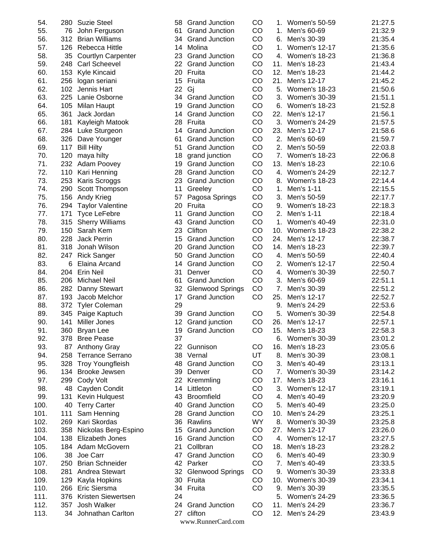| 54.        | 280 | <b>Suzie Steel</b>        |
|------------|-----|---------------------------|
| 55.        | 76  | John Ferguson             |
| 56.        | 312 | <b>Brian Williams</b>     |
| 57.        | 126 | Rebecca Hittle            |
| 58.        | 35  | <b>Courtlyn Carpenter</b> |
| 59.        | 248 | <b>Carl Scheevel</b>      |
| 60.        | 153 | Kyle Kincaid              |
| 61.        | 256 | logan seriani             |
| 62.        | 102 | Jennis Hart               |
| 63.        | 225 | Lanie Osborne             |
| 64.        | 105 | <b>Milan Haupt</b>        |
| 65.        | 361 | Jack Jordan               |
| 66.        | 181 | Kayleigh Matook           |
| 67.        | 284 | Luke Sturgeon             |
| 68.        | 326 | Dave Younger              |
| 69.        | 117 | <b>Bill Hilty</b>         |
| 70.        | 120 | maya hilty                |
| 71.        | 232 | Adam Poovey               |
| 72.        | 110 | Kari Henning              |
| 73.        | 253 | Karis Scroggs             |
| 74.        | 290 | Scott Thompson            |
| 75.        | 156 | Andy Krieg                |
| 76.        | 294 | <b>Taylor Valentine</b>   |
| 77.        | 171 | <b>Tyce LeFebre</b>       |
| 78.        | 315 | <b>Sherry Williams</b>    |
| 79.        | 150 | Sarah Kem                 |
| 80.        | 228 | <b>Jack Perrin</b>        |
| 81.        | 318 | Jonah Wilson              |
| 82.        | 247 | <b>Rick Sanger</b>        |
| 83.        | 6   | Elaina Arcand             |
|            | 204 |                           |
| 84.        |     | Erin Neil                 |
| 85.<br>86. | 206 | <b>Michael Neil</b>       |
|            | 282 | Danny Stewart             |
| 87.        | 193 | Jacob Melchor             |
| 88.<br>89. | 372 | <b>Tyler Coleman</b>      |
|            | 345 | Paige Kaptuch             |
| 90.        | 141 | Miller Jones              |
| 91.        | 360 | Bryan Lee                 |
| 92.        | 378 | <b>Bree Pease</b>         |
| 93.        | 87  | <b>Anthony Gray</b>       |
| 94.        | 258 | Terrance Serrano          |
| 95.        | 328 | <b>Troy Youngfleish</b>   |
| 96.        | 134 | <b>Brooke Jewsen</b>      |
| 97.        | 299 | <b>Cody Volt</b>          |
| 98.        | 48  | Cayden Condit             |
| 99.        | 131 | Kevin Hulquest            |
| 100.       | 40  | <b>Terry Carter</b>       |
| 101.       | 111 | Sam Henning               |
| 102.       | 269 | Kari Skordas              |
| 103.       | 358 | Nickolas Berg-Espino      |
| 104.       | 138 | Elizabeth Jones           |
| 105.       | 184 | Adam McGovern             |
| 106.       | 38  | Joe Carr                  |
| 107.       | 250 | <b>Brian Schneider</b>    |
| 108.       | 281 | Andrea Stewart            |
| 109.       | 129 | Kayla Hopkins             |
| 110.       | 266 | Eric Siersma              |
| 111.       | 376 | Kristen Siewertsen        |
| 112.       | 357 | Josh Walker               |
| 113.       | 34  | Johnathan Carlton         |

| 58 | <b>Grand Junction</b>   | CO |
|----|-------------------------|----|
| 61 | <b>Grand Junction</b>   | CO |
| 34 | <b>Grand Junction</b>   | CO |
| 14 | Molina                  | CO |
| 23 | <b>Grand Junction</b>   | CO |
| 22 | <b>Grand Junction</b>   | CO |
| 20 | Fruita                  | CO |
| 15 | Fruita                  | CO |
|    |                         |    |
| 22 | Gj                      | CO |
| 34 | <b>Grand Junction</b>   | CO |
| 19 | <b>Grand Junction</b>   | CO |
| 14 | <b>Grand Junction</b>   | CO |
| 28 | Fruita                  | CO |
| 14 | <b>Grand Junction</b>   | CO |
| 61 | <b>Grand Junction</b>   | CO |
| 51 | <b>Grand Junction</b>   | CO |
| 18 | grand junction          | CO |
| 19 | <b>Grand Junction</b>   | CO |
| 28 | <b>Grand Junction</b>   | CO |
| 23 | <b>Grand Junction</b>   | CO |
| 11 | Greeley                 | CO |
| 57 | Pagosa Springs          | CO |
| 20 | Fruita                  | CO |
| 11 | <b>Grand Junction</b>   | CO |
| 43 | <b>Grand Junction</b>   | CO |
| 23 | Clifton                 | CO |
|    |                         |    |
| 15 | <b>Grand Junction</b>   | CO |
| 20 | <b>Grand Junction</b>   | CO |
| 50 | <b>Grand Junction</b>   | CO |
| 14 | <b>Grand Junction</b>   | CO |
| 31 | Denver                  | CO |
| 61 | <b>Grand Junction</b>   | CO |
| 32 | <b>Glenwood Springs</b> | CO |
| 17 | <b>Grand Junction</b>   | CO |
| 29 |                         |    |
| 39 | <b>Grand Junction</b>   | CO |
| 12 | Grand junction          | CO |
| 19 | <b>Grand Junction</b>   | CO |
| 37 |                         |    |
| 22 | Gunnison                | CO |
| 38 | Vernal                  | UT |
| 48 | <b>Grand Junction</b>   | CO |
| 39 | Denver                  | CO |
| 22 | Kremmling               | CO |
| 14 | Littleton               | CO |
|    | <b>Broomfield</b>       | CO |
| 43 |                         |    |
| 40 | <b>Grand Junction</b>   | CO |
| 28 | <b>Grand Junction</b>   | CO |
| 36 | Rawlins                 | WY |
| 15 | <b>Grand Junction</b>   | CO |
| 16 | <b>Grand Junction</b>   | CO |
| 21 | Collbran                | CO |
| 47 | <b>Grand Junction</b>   | CO |
| 42 | Parker                  | CO |
| 32 | <b>Glenwood Springs</b> | CO |
| 30 | Fruita                  | CO |
| 34 | Fruita                  | CO |
| 24 |                         |    |
| 24 | <b>Grand Junction</b>   | CO |
| 27 | clifton                 | CO |
|    | www.RunnerCard.com      |    |
|    |                         |    |

| 54.  |     | 280 Suzie Steel           | 58 | <b>Grand Junction</b>   | CO        | 1.  | Women's 50-59        | 21:27.5 |
|------|-----|---------------------------|----|-------------------------|-----------|-----|----------------------|---------|
| 55.  | 76  | John Ferguson             | 61 | <b>Grand Junction</b>   | CO        | 1.  | Men's 60-69          | 21:32.9 |
| 56.  | 312 | <b>Brian Williams</b>     | 34 | <b>Grand Junction</b>   | CO        | 6.  | Men's 30-39          | 21:35.4 |
| 57.  | 126 | Rebecca Hittle            | 14 | Molina                  | CO        | 1.  | <b>Women's 12-17</b> | 21:35.6 |
| 58.  | 35  | <b>Courtlyn Carpenter</b> | 23 | <b>Grand Junction</b>   | CO        | 4.  | Women's 18-23        | 21:36.8 |
| 59.  | 248 | <b>Carl Scheevel</b>      | 22 | <b>Grand Junction</b>   | CO        | 11. | Men's 18-23          | 21:43.4 |
| 60.  | 153 | Kyle Kincaid              | 20 | Fruita                  | CO        | 12. | Men's 18-23          | 21:44.2 |
| 61.  | 256 | logan seriani             | 15 | Fruita                  | CO        | 21. | Men's 12-17          | 21:45.2 |
| 62.  | 102 | Jennis Hart               | 22 | Gj                      | CO        | 5.  | Women's 18-23        | 21:50.6 |
| 63.  | 225 | Lanie Osborne             | 34 | <b>Grand Junction</b>   | CO        | 3.  | <b>Women's 30-39</b> | 21:51.1 |
| 64.  | 105 | <b>Milan Haupt</b>        | 19 | <b>Grand Junction</b>   | CO        | 6.  | Women's 18-23        | 21:52.8 |
| 65.  | 361 | Jack Jordan               | 14 | <b>Grand Junction</b>   | CO        | 22. | Men's 12-17          | 21:56.1 |
| 66.  | 181 | Kayleigh Matook           | 28 | Fruita                  | CO        | 3.  | <b>Women's 24-29</b> | 21:57.5 |
| 67.  |     | 284 Luke Sturgeon         | 14 | <b>Grand Junction</b>   | CO        | 23. | Men's 12-17          | 21:58.6 |
| 68.  | 326 | Dave Younger              | 61 | <b>Grand Junction</b>   | CO        | 2.  | Men's 60-69          | 21:59.7 |
| 69.  | 117 | <b>Bill Hilty</b>         | 51 | <b>Grand Junction</b>   | CO        | 2.  | Men's 50-59          | 22:03.8 |
| 70.  | 120 | maya hilty                | 18 | grand junction          | CO        | 7.  | Women's 18-23        | 22:06.8 |
| 71.  | 232 | <b>Adam Poovey</b>        | 19 | <b>Grand Junction</b>   | CO        | 13. | Men's 18-23          | 22:10.6 |
| 72.  | 110 | Kari Henning              | 28 | <b>Grand Junction</b>   | CO        | 4.  | <b>Women's 24-29</b> | 22:12.7 |
| 73.  | 253 | Karis Scroggs             | 23 | <b>Grand Junction</b>   | CO        | 8.  | Women's 18-23        | 22:14.4 |
| 74.  | 290 | Scott Thompson            | 11 | Greeley                 | CO        | 1.  | Men's 1-11           | 22:15.5 |
| 75.  | 156 | Andy Krieg                | 57 | Pagosa Springs          | CO        | 3.  | Men's 50-59          | 22:17.7 |
| 76.  | 294 | <b>Taylor Valentine</b>   | 20 | Fruita                  | CO        | 9.  | <b>Women's 18-23</b> | 22:18.3 |
| 77.  | 171 | <b>Tyce LeFebre</b>       | 11 | <b>Grand Junction</b>   | CO        | 2.  | Men's 1-11           | 22:18.4 |
| 78.  | 315 | <b>Sherry Williams</b>    | 43 | <b>Grand Junction</b>   | CO        | 1.  | <b>Women's 40-49</b> | 22:31.0 |
| 79.  | 150 | Sarah Kem                 | 23 | Clifton                 | CO        | 10. | Women's 18-23        | 22:38.2 |
| 80.  | 228 | Jack Perrin               | 15 | <b>Grand Junction</b>   | CO        | 24. | Men's 12-17          | 22:38.7 |
| 81.  | 318 | Jonah Wilson              | 20 | <b>Grand Junction</b>   | CO        | 14. | Men's 18-23          | 22:39.7 |
| 82.  | 247 | <b>Rick Sanger</b>        | 50 | <b>Grand Junction</b>   | CO        | 4.  | Men's 50-59          | 22:40.4 |
| 83.  | 6   | Elaina Arcand             | 14 | <b>Grand Junction</b>   | CO        | 2.  | Women's 12-17        | 22:50.4 |
| 84.  | 204 | <b>Erin Neil</b>          | 31 | Denver                  | CO        | 4.  | <b>Women's 30-39</b> | 22:50.7 |
| 85.  | 206 | <b>Michael Neil</b>       | 61 | <b>Grand Junction</b>   | CO        | 3.  | Men's 60-69          | 22:51.1 |
| 86.  | 282 | Danny Stewart             | 32 | <b>Glenwood Springs</b> | CO        | 7.  | Men's 30-39          | 22:51.2 |
| 87.  | 193 | Jacob Melchor             | 17 | <b>Grand Junction</b>   | CO        | 25. | Men's 12-17          | 22:52.7 |
| 88.  | 372 | <b>Tyler Coleman</b>      | 29 |                         |           | 9.  | Men's 24-29          | 22:53.6 |
| 89.  | 345 | Paige Kaptuch             | 39 | <b>Grand Junction</b>   | CO        | 5.  | <b>Women's 30-39</b> | 22:54.8 |
| 90.  | 141 | <b>Miller Jones</b>       | 12 | Grand junction          | CO        | 26. | Men's 12-17          | 22:57.1 |
| 91.  |     | 360 Bryan Lee             | 19 | <b>Grand Junction</b>   | CO        | 15. | Men's 18-23          | 22:58.3 |
| 92.  | 378 | <b>Bree Pease</b>         | 37 |                         |           | 6.  | Women's 30-39        | 23:01.2 |
| 93.  | 87  | <b>Anthony Gray</b>       | 22 | Gunnison                | CO        | 16. | Men's 18-23          | 23:05.6 |
| 94.  | 258 | <b>Terrance Serrano</b>   | 38 | Vernal                  | <b>UT</b> | 8.  | Men's 30-39          | 23:08.1 |
| 95.  | 328 | <b>Troy Youngfleish</b>   | 48 | <b>Grand Junction</b>   | CO        | 3.  | Men's 40-49          | 23:13.1 |
| 96.  | 134 | <b>Brooke Jewsen</b>      | 39 | Denver                  | CO        | 7.  | <b>Women's 30-39</b> | 23:14.2 |
| 97.  | 299 | Cody Volt                 | 22 | Kremmling               | CO        | 17. | Men's 18-23          | 23:16.1 |
| 98.  | 48  | Cayden Condit             | 14 | Littleton               | CO        | 3.  | <b>Women's 12-17</b> | 23:19.1 |
| 99.  | 131 | Kevin Hulquest            | 43 | Broomfield              | CO        | 4.  | Men's 40-49          | 23:20.9 |
| 100. | 40  | <b>Terry Carter</b>       | 40 | <b>Grand Junction</b>   | CO        | 5.  | Men's 40-49          | 23:25.0 |
| 101. | 111 | Sam Henning               | 28 | <b>Grand Junction</b>   | CO        | 10. | Men's 24-29          | 23:25.1 |
| 102. | 269 | Kari Skordas              |    | 36 Rawlins              | <b>WY</b> | 8.  | Women's 30-39        | 23:25.8 |
| 103. | 358 | Nickolas Berg-Espino      | 15 | <b>Grand Junction</b>   | CO        | 27. | Men's 12-17          | 23:26.0 |
| 104. | 138 | Elizabeth Jones           | 16 | <b>Grand Junction</b>   | CO        | 4.  | <b>Women's 12-17</b> | 23:27.5 |
| 105. | 184 | Adam McGovern             | 21 | Collbran                | CO        | 18. | Men's 18-23          | 23:28.2 |
| 106. | 38  | Joe Carr                  | 47 | <b>Grand Junction</b>   | CO        | 6.  | Men's 40-49          | 23:30.9 |
| 107. | 250 | <b>Brian Schneider</b>    |    | 42 Parker               | CO        | 7.  | Men's 40-49          | 23:33.5 |
| 108. | 281 | Andrea Stewart            | 32 | <b>Glenwood Springs</b> | CO        | 9.  | <b>Women's 30-39</b> | 23:33.8 |
| 109. | 129 | Kayla Hopkins             |    | 30 Fruita               | CO        | 10. | <b>Women's 30-39</b> | 23:34.1 |
| 110. | 266 | Eric Siersma              |    | 34 Fruita               | CO        | 9.  | Men's 30-39          | 23:35.5 |
| 111. | 376 | Kristen Siewertsen        | 24 |                         |           | 5.  | Women's 24-29        | 23:36.5 |
| 112. | 357 | Josh Walker               | 24 | <b>Grand Junction</b>   | CO        | 11. | Men's 24-29          | 23:36.7 |
| 113. |     | 34 Johnathan Carlton      | 27 | clifton                 | CO        | 12. | Men's 24-29          | 23:43.9 |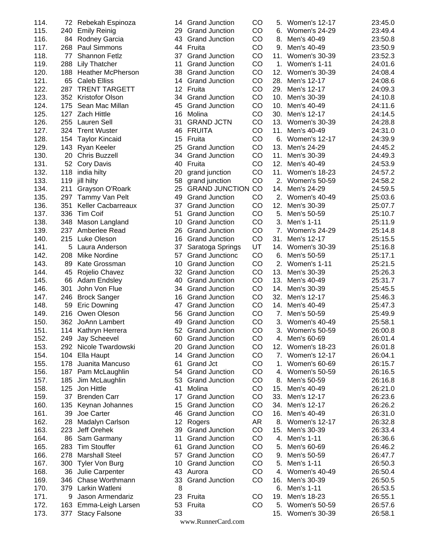| 114. |      | 72 Rebekah Espinoza       | 14      | <b>Grand Junction</b>  | CO | 5.  | Women's 12-17        | 23:45.0 |
|------|------|---------------------------|---------|------------------------|----|-----|----------------------|---------|
| 115. | 240  | <b>Emily Reinig</b>       | 29      | <b>Grand Junction</b>  | CO | 6.  | <b>Women's 24-29</b> | 23:49.4 |
| 116. | 84   | Rodney Garcia             | 43      | <b>Grand Junction</b>  | CO | 8.  | Men's 40-49          | 23:50.8 |
| 117. | 268  |                           | 44      | Fruita                 | CO | 9.  |                      |         |
|      |      | Paul Simmons              |         |                        |    |     | Men's 40-49          | 23:50.9 |
| 118. | 77   | Shannon Fetlz             | 37      | <b>Grand Junction</b>  | CO | 11. | Women's 30-39        | 23:52.3 |
| 119. | 288  | <b>Lily Thatcher</b>      | 11      | <b>Grand Junction</b>  | CO | 1.  | Women's 1-11         | 24:01.6 |
| 120. | 188  | <b>Heather McPherson</b>  | 38      | <b>Grand Junction</b>  | CO | 12. | Women's 30-39        | 24:08.4 |
| 121. | 65   | <b>Caleb Elliss</b>       | 14      | <b>Grand Junction</b>  | CO | 28. | Men's 12-17          | 24:08.6 |
| 122. | 287  | <b>TRENT TARGETT</b>      | 12      | Fruita                 | CO | 29. | Men's 12-17          | 24:09.3 |
| 123. |      | 352 Kristofor Olson       | 34      | <b>Grand Junction</b>  | CO | 10. | Men's 30-39          | 24:10.8 |
| 124. | 175  | Sean Mac Millan           | 45      | <b>Grand Junction</b>  | CO | 10. | Men's 40-49          | 24:11.6 |
| 125. | 127  | <b>Zach Hittle</b>        | 16      | Molina                 | CO | 30. | Men's 12-17          | 24:14.5 |
| 126. | 255  | Lauren Sell               | 31      | <b>GRAND JCTN</b>      | CO | 13. | Women's 30-39        | 24:28.8 |
| 127. | 324  | <b>Trent Wuster</b>       | 46      | <b>FRUITA</b>          | CO | 11. | Men's 40-49          | 24:31.0 |
| 128. | 154  | <b>Taylor Kincaid</b>     | 15      | Fruita                 | CO | 6.  | <b>Women's 12-17</b> | 24:39.9 |
| 129. | 143  | Ryan Keeler               | 25      | <b>Grand Junction</b>  | CO | 13. | Men's 24-29          | 24:45.2 |
| 130. |      | 20 Chris Buzzell          | 34      | <b>Grand Junction</b>  | CO | 11. | Men's 30-39          | 24:49.3 |
| 131. | 52   | Cory Davis                | 40      | Fruita                 | CO | 12. | Men's 40-49          | 24:53.9 |
| 132. |      |                           |         |                        | CO | 11. |                      |         |
|      | 118  | india hilty               | 20      | grand junction         |    |     | Women's 18-23        | 24:57.2 |
| 133. | 119  | jill hilty                | 58      | grand junction         | CO | 2.  | Women's 50-59        | 24:58.2 |
| 134. | 211  | Grayson O'Roark           | 25      | <b>GRAND JUNCTION</b>  | CO | 14. | Men's 24-29          | 24:59.5 |
| 135. | 297  | Tammy Van Pelt            | 49      | <b>Grand Junction</b>  | CO | 2.  | Women's 40-49        | 25:03.6 |
| 136. | 351  | <b>Keller Cacbarreaux</b> | 37      | <b>Grand Junction</b>  | CO | 12. | Men's 30-39          | 25:07.7 |
| 137. | 336  | <b>Tim Coif</b>           | 51      | <b>Grand Junction</b>  | CO | 5.  | Men's 50-59          | 25:10.7 |
| 138. | 348  | Mason Langland            | 10      | <b>Grand Junction</b>  | CO | 3.  | Men's 1-11           | 25:11.9 |
| 139. | 237  | Amberlee Read             | 26      | <b>Grand Junction</b>  | CO | 7.  | Women's 24-29        | 25:14.8 |
| 140. | 215  | Luke Oleson               | 16      | <b>Grand Junction</b>  | CO | 31. | Men's 12-17          | 25:15.5 |
| 141. | 5    | Laura Anderson            | 37      | Saratoga Springs       | UT | 14. | Women's 30-39        | 25:16.8 |
| 142. | 208  | <b>Mike Nordine</b>       | 57      | <b>Grand Junctionc</b> | CO | 6.  | Men's 50-59          | 25:17.1 |
| 143. | 89   | Kate Grossman             | 10      | <b>Grand Junction</b>  | CO | 2.  | Women's 1-11         | 25:21.5 |
| 144. | 45   | Rojelio Chavez            | 32      | <b>Grand Junction</b>  | CO | 13. | Men's 30-39          | 25:26.3 |
| 145. | 66   | <b>Adam Endsley</b>       | 40      | <b>Grand Junction</b>  | CO | 13. | Men's 40-49          | 25:31.7 |
| 146. | 301  | John Von Flue             | 34      | <b>Grand Junction</b>  | CO | 14. | Men's 30-39          | 25:45.5 |
| 147. | 246  | <b>Brock Sanger</b>       | 16      | <b>Grand Junction</b>  | CO | 32. | Men's 12-17          | 25:46.3 |
|      |      |                           |         | <b>Grand Junction</b>  | CO |     |                      | 25:47.3 |
| 148. | 59   | <b>Eric Downing</b>       | 47      |                        |    | 14. | Men's 40-49          |         |
| 149. | 216  | Owen Oleson               | 56      | <b>Grand Junction</b>  | CO | 7.  | Men's 50-59          | 25:49.9 |
| 150. |      | 362 JoAnn Lambert         | 49      | <b>Grand Junction</b>  | CO | 3.  | Women's 40-49        | 25:58.1 |
| 151. |      | 114 Kathryn Herrera       | 52      | <b>Grand Junction</b>  | CO | 3.  | Women's 50-59        | 26:00.8 |
| 152. | 249  | Jay Scheevel              | 60      | <b>Grand Junction</b>  | CO | 4.  | Men's 60-69          | 26:01.4 |
| 153. |      | 292 Nicole Twardowski     | 20      | <b>Grand Junction</b>  | CO | 12. | Women's 18-23        | 26:01.8 |
| 154. |      | 104 Ella Haupt            | 14      | <b>Grand Junction</b>  | CO |     | 7. Women's 12-17     | 26:04.1 |
| 155. | 178  | Juanita Mancuso           | 61      | <b>Grand Jct</b>       | CO | 1.  | Women's 60-69        | 26:15.7 |
| 156. |      | 187 Pam McLaughlin        | 54      | <b>Grand Junction</b>  | CO | 4.  | Women's 50-59        | 26:16.5 |
| 157. | 185  | Jim McLaughlin            | 53      | <b>Grand Junction</b>  | CO | 8.  | Men's 50-59          | 26:16.8 |
| 158. | 125  | Jon Hittle                | 41      | Molina                 | CO | 15. | Men's 40-49          | 26:21.0 |
| 159. | 37   | <b>Brenden Carr</b>       | 17      | <b>Grand Junction</b>  | CO | 33. | Men's 12-17          | 26:23.6 |
| 160. | 135  | Keynan Johannes           | 15      | <b>Grand Junction</b>  | CO | 34. | Men's 12-17          | 26:26.2 |
| 161. | 39   | Joe Carter                | 46      | <b>Grand Junction</b>  | CO | 16. | Men's 40-49          | 26:31.0 |
| 162. | 28   | Madalyn Carlson           | $12 \,$ | Rogers                 | AR |     | 8. Women's 12-17     | 26:32.8 |
| 163. | 223  | Jeff Orehek               | 39      | <b>Grand Junction</b>  | CO | 15. | Men's 30-39          | 26:33.4 |
| 164. | 86   | Sam Garmany               | 11      | <b>Grand Junction</b>  | CO | 4.  | Men's 1-11           | 26:36.6 |
| 165. | 283  | <b>Tim Stouffer</b>       | 61      | <b>Grand Junction</b>  | CO | 5.  | Men's 60-69          | 26:46.2 |
|      |      |                           |         |                        |    |     |                      |         |
| 166. | 278  | <b>Marshall Steel</b>     | 57      | <b>Grand Junction</b>  | CO | 9.  | Men's 50-59          | 26:47.7 |
| 167. | 300  | Tyler Von Burg            | 10      | <b>Grand Junction</b>  | CO | 5.  | Men's 1-11           | 26:50.3 |
| 168. | 36   | Julie Carpenter           | 43      | Aurora                 | CO | 4.  | Women's 40-49        | 26:50.4 |
| 169. | 346. | Chase Worthmann           | 33      | <b>Grand Junction</b>  | CO | 16. | Men's 30-39          | 26:50.5 |
| 170. | 379  | Larkin Watleni            | 8       |                        |    | 6.  | Men's 1-11           | 26:53.5 |
| 171. | 9    | Jason Armendariz          | 23      | Fruita                 | CO | 19. | Men's 18-23          | 26:55.1 |
| 172. |      | 163 Emma-Leigh Larsen     | 53      | Fruita                 | CO |     | 5. Women's 50-59     | 26:57.6 |
| 173. | 377  | <b>Stacy Falsone</b>      | 33      |                        |    |     | 15. Women's 30-39    | 26:58.1 |
|      |      |                           |         | www.RunnerCard.com     |    |     |                      |         |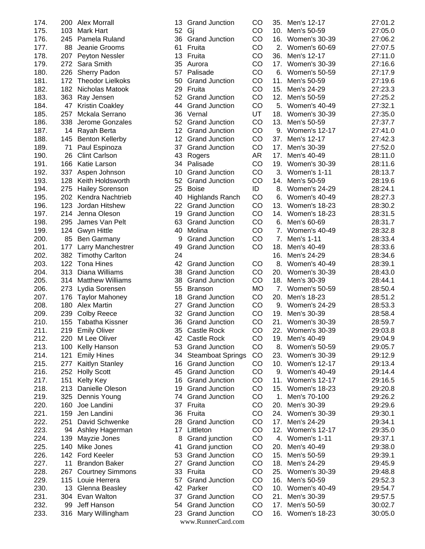| <b>Alex Morrall</b>                      |
|------------------------------------------|
| Mark Hart                                |
| Pamela Ruland                            |
| Jeanie Grooms                            |
| Peyton Nessler                           |
| Sara Smith                               |
| <b>Sherry Padon</b>                      |
| <b>Theodor Lielkoks</b>                  |
| Nicholas Matook                          |
| Ray Jensen                               |
| Kristin Coakley                          |
| Mckala Serrano                           |
| Jerome Gonzales                          |
| Rayah Berta                              |
| <b>Benton Kellerby</b>                   |
| Paul Espinoza                            |
| <b>Clint Carlson</b>                     |
| Katie Larson                             |
| Aspen Johnson                            |
| Keith Holdsworth                         |
| <b>Hailey Sorenson</b>                   |
| Kendra Nachtrieb                         |
| Jordan Hitshew                           |
| Jenna Oleson                             |
| James Van Pelt                           |
| Gwyn Hittle                              |
| <b>Ben Garmany</b>                       |
| Larry Manchestrer                        |
| <b>Timothy Carlton</b>                   |
| <b>Tona Hines</b>                        |
| Diana Williams                           |
| <b>Matthew Williams</b>                  |
| Lydia Sorensen                           |
| <b>Taylor Mahoney</b>                    |
| <b>Alex Martin</b><br><b>Colby Reece</b> |
| <b>Tabatha Kissner</b>                   |
| <b>Emily Oliver</b>                      |
| M Lee Oliver                             |
| Kelly Hanson                             |
| <b>Emily Hines</b>                       |
| Kaitlyn Stanley                          |
| <b>Holly Scott</b>                       |
| Kelty Key                                |
| Danielle Oleson                          |
| Dennis Young                             |
| Joe Landini                              |
| Jen Landini                              |
| David Schwenke                           |
| Ashley Hagerman                          |
| Mayzie Jones                             |
|                                          |
| Mike Jones                               |
| <b>Ford Keeler</b>                       |
| <b>Brandon Baker</b>                     |
| <b>Courtney Simmons</b>                  |
| Louie Herrera                            |
| Glenna Beasley                           |
| Evan Walton                              |
| <b>Jeff Hanson</b><br>Mary Willingham    |
|                                          |

|          | <b>Grand Junction</b>                       | CO        |
|----------|---------------------------------------------|-----------|
| 52       | Gj                                          | CO        |
| 36<br>61 | <b>Grand Junction</b>                       | CO<br>CO  |
| 13       | Fruita<br>Fruita                            | CO        |
| 35       | Aurora                                      | CO        |
| 57       | Palisade                                    | CO        |
| 50       | <b>Grand Junction</b>                       | CO        |
| 29       | Fruita                                      | CO        |
| 52       | <b>Grand Junction</b>                       | CO        |
| 44       | <b>Grand Junction</b>                       | CO        |
| 36       | Vernal                                      | UT        |
| 52       | <b>Grand Junction</b>                       | CO        |
| 12       | <b>Grand Junction</b>                       | CO        |
| 12       | <b>Grand Junction</b>                       | CO        |
| 37       | <b>Grand Junction</b>                       | CO        |
| 43       | Rogers                                      | AR        |
| 34       | Palisade                                    | CO        |
| 10       | <b>Grand Junction</b>                       | CO        |
| 52       | <b>Grand Junction</b>                       | CO        |
| 25       | <b>Boise</b>                                | ID        |
| 40       | <b>Highlands Ranch</b>                      | CO        |
| 22       | <b>Grand Junction</b>                       | CO        |
| 19       | <b>Grand Junction</b>                       | CO        |
| 63       | <b>Grand Junction</b>                       | CO        |
| 40       | Molina                                      | CO        |
| -9       | <b>Grand Junction</b>                       | CO        |
| 49       | <b>Grand Junction</b>                       | CO        |
| 24       |                                             |           |
| 42       | <b>Grand Junction</b>                       | CO        |
| 38       | <b>Grand Junction</b>                       | CO        |
| 38       | <b>Grand Junction</b>                       | CO        |
| 55       | <b>Branson</b>                              | <b>MO</b> |
| 18       | <b>Grand Junction</b>                       |           |
|          |                                             | CO        |
| 27       | <b>Grand Junction</b>                       | CO        |
| 32       | <b>Grand Junction</b>                       | CO        |
| 36       | <b>Grand Junction</b>                       | CO        |
| 35       | Castle Rock                                 | CO        |
| 42       | <b>Castle Rock</b>                          | CO        |
| 53       | <b>Grand Junction</b>                       | CO        |
| 34       | <b>Steamboat Springs</b>                    | CO        |
| 16       | <b>Grand Junction</b>                       | CO        |
| 45       | <b>Grand Junction</b>                       | CO        |
| 16       | <b>Grand Junction</b>                       | CO        |
| 19       | <b>Grand Junction</b>                       | CO        |
| 74       | <b>Grand Junction</b>                       | CO        |
| 37       | Fruita                                      | CO        |
| 36       | Fruita                                      | CO        |
| 28       | <b>Grand Junction</b>                       | CO        |
| 17<br>8  | Littleton                                   | CO        |
| 41       | Grand junction                              | CO        |
| 53       | Grand junction<br><b>Grand Junction</b>     | CO<br>CO  |
| 27       | <b>Grand Junction</b>                       | CO        |
| 33       | Fruita                                      | CO        |
| 57       | <b>Grand Junction</b>                       | CO        |
| 42       | Parker                                      | CO        |
| 37       | <b>Grand Junction</b>                       | CO        |
| 54       | <b>Grand Junction</b>                       | CO        |
| 23       | <b>Grand Junction</b><br>www.RunnerCard.com | CO        |

| 174. | 200 | <b>Alex Morrall</b>     | 13              | <b>Grand Junction</b>  | CO        | 35. | Men's 12-17          | 27:01.2 |
|------|-----|-------------------------|-----------------|------------------------|-----------|-----|----------------------|---------|
| 175. | 103 | <b>Mark Hart</b>        | 52              | Gj                     | CO        | 10. | Men's 50-59          | 27:05.0 |
| 176. | 245 | Pamela Ruland           | 36              | <b>Grand Junction</b>  | CO        | 16. | <b>Women's 30-39</b> | 27:06.2 |
| 177. | 88  | Jeanie Grooms           | 61              | Fruita                 | CO        | 2.  | Women's 60-69        | 27:07.5 |
| 178. | 207 | Peyton Nessler          | 13              | Fruita                 | CO        | 36. | Men's 12-17          | 27:11.0 |
| 179. | 272 | Sara Smith              | 35              | Aurora                 | CO        | 17. | <b>Women's 30-39</b> | 27:16.6 |
| 180. | 226 | Sherry Padon            | 57              | Palisade               | CO        | 6.  | Women's 50-59        | 27:17.9 |
| 181. | 172 | <b>Theodor Lielkoks</b> | 50              | <b>Grand Junction</b>  | CO        | 11. | Men's 50-59          | 27:19.6 |
| 182. | 182 | Nicholas Matook         | 29              | Fruita                 | CO        | 15. | Men's 24-29          | 27:23.3 |
| 183. | 363 | Ray Jensen              | 52              | <b>Grand Junction</b>  | CO        | 12. | Men's 50-59          | 27:25.2 |
| 184. | 47  | <b>Kristin Coakley</b>  | 44              | <b>Grand Junction</b>  | CO        | 5.  | Women's 40-49        | 27:32.1 |
| 185. | 257 | Mckala Serrano          | 36              | Vernal                 | UT        | 18. | Women's 30-39        | 27:35.0 |
| 186. | 338 | Jerome Gonzales         | 52              | <b>Grand Junction</b>  | CO        | 13. | Men's 50-59          | 27:37.7 |
|      |     |                         |                 |                        | CO        |     |                      |         |
| 187. | 14  | Rayah Berta             | 12 <sup>2</sup> | <b>Grand Junction</b>  |           | 9.  | <b>Women's 12-17</b> | 27:41.0 |
| 188. | 145 | <b>Benton Kellerby</b>  | 12 <sup>2</sup> | <b>Grand Junction</b>  | CO        | 37. | Men's 12-17          | 27:42.3 |
| 189. | 71  | Paul Espinoza           | 37              | <b>Grand Junction</b>  | CO        | 17. | Men's 30-39          | 27:52.0 |
| 190. | 26  | <b>Clint Carlson</b>    | 43              | Rogers                 | <b>AR</b> | 17. | Men's 40-49          | 28:11.0 |
| 191. | 166 | Katie Larson            |                 | 34 Palisade            | CO        | 19. | <b>Women's 30-39</b> | 28:11.6 |
| 192. | 337 | Aspen Johnson           | 10              | <b>Grand Junction</b>  | CO        | 3.  | Women's 1-11         | 28:13.7 |
| 193. | 128 | Keith Holdsworth        | 52              | <b>Grand Junction</b>  | CO        | 14. | Men's 50-59          | 28:19.6 |
| 194. | 275 | <b>Hailey Sorenson</b>  | 25              | <b>Boise</b>           | ID        | 8.  | <b>Women's 24-29</b> | 28:24.1 |
| 195. | 202 | Kendra Nachtrieb        | 40              | <b>Highlands Ranch</b> | CO        | 6.  | Women's 40-49        | 28:27.3 |
| 196. | 123 | Jordan Hitshew          | 22              | <b>Grand Junction</b>  | CO        | 13. | Women's 18-23        | 28:30.2 |
| 197. | 214 | Jenna Oleson            | 19              | <b>Grand Junction</b>  | CO        | 14. | Women's 18-23        | 28:31.5 |
| 198. | 295 | James Van Pelt          | 63              | <b>Grand Junction</b>  | CO        | 6.  | Men's 60-69          | 28:31.7 |
| 199. | 124 | <b>Gwyn Hittle</b>      | 40              | Molina                 | CO        | 7.  | <b>Women's 40-49</b> | 28:32.8 |
| 200. | 85  | <b>Ben Garmany</b>      | 9               | <b>Grand Junction</b>  | CO        | 7.  | Men's 1-11           | 28:33.4 |
| 201. | 177 | Larry Manchestrer       | 49              | <b>Grand Junction</b>  | CO        | 18. | Men's 40-49          | 28:33.6 |
| 202. | 382 | <b>Timothy Carlton</b>  | 24              |                        |           | 16. | Men's 24-29          | 28:34.6 |
| 203. | 122 | <b>Tona Hines</b>       | 42              | <b>Grand Junction</b>  | CO        | 8.  | Women's 40-49        | 28:39.1 |
| 204. | 313 | Diana Williams          | 38              | <b>Grand Junction</b>  | CO        | 20. | Women's 30-39        | 28:43.0 |
| 205. | 314 | <b>Matthew Williams</b> | 38              | <b>Grand Junction</b>  | CO        | 18. | Men's 30-39          | 28:44.1 |
| 206. | 273 | Lydia Sorensen          | 55              | <b>Branson</b>         | <b>MO</b> | 7.  | Women's 50-59        | 28:50.4 |
| 207. | 176 | <b>Taylor Mahoney</b>   | 18              | <b>Grand Junction</b>  | CO        | 20. | Men's 18-23          | 28:51.2 |
| 208. | 180 | <b>Alex Martin</b>      | 27              | <b>Grand Junction</b>  | CO        | 9.  | Women's 24-29        | 28:53.3 |
| 209. | 239 | <b>Colby Reece</b>      | 32              | <b>Grand Junction</b>  | CO        | 19. | Men's 30-39          | 28:58.4 |
| 210. | 155 | Tabatha Kissner         |                 | 36 Grand Junction      | CO        | 21. | Women's 30-39        | 28:59.7 |
| 211. |     | 219 Emily Oliver        | 35              | <b>Castle Rock</b>     | CO        | 22. | Women's 30-39        | 29:03.8 |
| 212. | 220 | M Lee Oliver            | 42              | <b>Castle Rock</b>     | CO        | 19. | Men's 40-49          | 29:04.9 |
|      |     | Kelly Hanson            | 53              | <b>Grand Junction</b>  | CO        | 8.  | Women's 50-59        | 29:05.7 |
| 213. | 100 |                         |                 |                        |           |     |                      |         |
| 214. | 121 | <b>Emily Hines</b>      |                 | 34 Steamboat Springs   | CO        | 23. | Women's 30-39        | 29:12.9 |
| 215. | 277 | Kaitlyn Stanley         | 16              | <b>Grand Junction</b>  | CO        | 10. | Women's 12-17        | 29:13.4 |
| 216. | 252 | <b>Holly Scott</b>      | 45              | <b>Grand Junction</b>  | CO        | 9.  | Women's 40-49        | 29:14.4 |
| 217. | 151 | Kelty Key               | 16              | <b>Grand Junction</b>  | CO        | 11. | <b>Women's 12-17</b> | 29:16.5 |
| 218. | 213 | Danielle Oleson         | 19              | <b>Grand Junction</b>  | CO        | 15. | Women's 18-23        | 29:20.8 |
| 219. | 325 | Dennis Young            | 74              | <b>Grand Junction</b>  | CO        | 1.  | Men's 70-100         | 29:26.2 |
| 220. | 160 | Joe Landini             | 37              | Fruita                 | CO        | 20. | Men's 30-39          | 29:29.6 |
| 221. | 159 | Jen Landini             | 36              | Fruita                 | CO        | 24. | Women's 30-39        | 29:30.1 |
| 222. | 251 | David Schwenke          | 28              | <b>Grand Junction</b>  | CO        | 17. | Men's 24-29          | 29:34.1 |
| 223. | 94  | Ashley Hagerman         | 17              | Littleton              | CO        | 12. | <b>Women's 12-17</b> | 29:35.0 |
| 224. | 139 | Mayzie Jones            | 8               | Grand junction         | CO        | 4.  | Women's 1-11         | 29:37.1 |
| 225. | 140 | Mike Jones              | 41              | Grand junction         | CO        | 20. | Men's 40-49          | 29:38.0 |
| 226. | 142 | <b>Ford Keeler</b>      | 53              | <b>Grand Junction</b>  | CO        | 15. | Men's 50-59          | 29:39.1 |
| 227. | 11  | <b>Brandon Baker</b>    | 27              | <b>Grand Junction</b>  | CO        | 18. | Men's 24-29          | 29:45.9 |
| 228. | 267 | <b>Courtney Simmons</b> | 33              | Fruita                 | CO        | 25. | Women's 30-39        | 29:48.8 |
| 229. | 115 | Louie Herrera           | 57              | <b>Grand Junction</b>  | CO        | 16. | Men's 50-59          | 29:52.3 |
| 230. | 13  | Glenna Beasley          |                 | 42 Parker              | CO        | 10. | Women's 40-49        | 29:54.7 |
| 231. |     | 304 Evan Walton         | 37              | <b>Grand Junction</b>  | CO        | 21. | Men's 30-39          | 29:57.5 |
| 232. | 99  | Jeff Hanson             | 54              | <b>Grand Junction</b>  | CO        | 17. | Men's 50-59          | 30:02.7 |
| 233. | 316 | Mary Willingham         |                 | 23 Grand Junction      | CO        |     | 16. Women's 18-23    | 30:05.0 |
|      |     |                         |                 |                        |           |     |                      |         |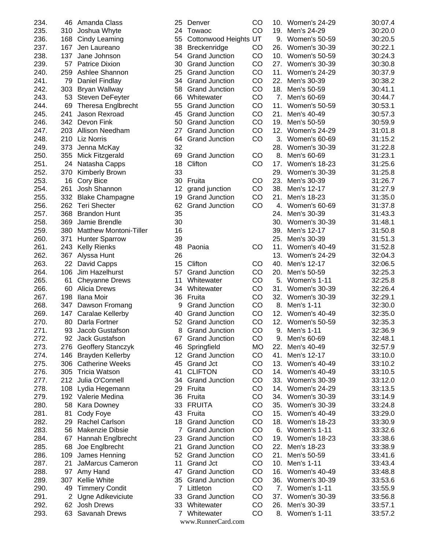| 234. |     | 46 Amanda Class            | 25               | Denver                | CO        |     | 10. Women's 24-29    | 30:07.4 |
|------|-----|----------------------------|------------------|-----------------------|-----------|-----|----------------------|---------|
| 235. |     | 310 Joshua Whyte           | 24               | Towaoc                | CO        | 19. | Men's 24-29          | 30:20.0 |
| 236. |     | 168 Cindy Leaming          | 55               | Cottonwood Heights UT |           |     | 9. Women's 50-59     | 30:20.5 |
| 237. | 167 | Jen Laureano               | 38               | Breckenridge          | CO        | 26. | Women's 30-39        | 30:22.1 |
| 238. | 137 | Jane Johnson               | 54               | <b>Grand Junction</b> | CO        | 10. | Women's 50-59        | 30:24.3 |
| 239. | 57  | <b>Patrice Dixion</b>      | 30               | <b>Grand Junction</b> | CO        | 27. | Women's 30-39        | 30:30.8 |
| 240. | 259 | Ashlee Shannon             | 25               | <b>Grand Junction</b> | CO        | 11. | Women's 24-29        | 30:37.9 |
| 241. | 79  | <b>Daniel Findlay</b>      | 34               | <b>Grand Junction</b> | CO        | 22. | Men's 30-39          | 30:38.2 |
| 242. | 303 | Bryan Wallway              | 58               | <b>Grand Junction</b> | CO        | 18. | Men's 50-59          | 30:41.1 |
| 243. |     | 53 Steven DeFeyter         | 66               | Whitewater            | CO        | 7.  | Men's 60-69          | 30:44.7 |
| 244. |     | 69 Theresa Englbrecht      | 55               | <b>Grand Junction</b> | CO        | 11. | <b>Women's 50-59</b> | 30:53.1 |
| 245. | 241 | Jason Rexroad              | 45               | <b>Grand Junction</b> | CO        | 21. | Men's 40-49          | 30:57.3 |
| 246. |     | 342 Devon Fink             | 50               | <b>Grand Junction</b> | CO        | 19. | Men's 50-59          | 30:59.9 |
| 247. |     | 203 Allison Needham        | 27               | <b>Grand Junction</b> | CO        | 12. | Women's 24-29        | 31:01.8 |
| 248. |     | 210 Liz Norris             | 64               | <b>Grand Junction</b> | CO        | 3.  | Women's 60-69        | 31:15.2 |
| 249. |     | 373 Jenna McKay            | 32               |                       |           | 28. | Women's 30-39        | 31:22.8 |
| 250. |     | 355 Mick Fitzgerald        | 69               | <b>Grand Junction</b> | CO        | 8.  | Men's 60-69          | 31:23.1 |
| 251. |     | 24 Natasha Capps           | 18               | Clifton               | CO        | 17. | Women's 18-23        | 31:25.6 |
| 252. |     | 370 Kimberly Brown         | 33               |                       |           | 29. | Women's 30-39        | 31:25.8 |
| 253. |     | 16 Cory Bice               | 30               | Fruita                | CO        | 23. | Men's 30-39          | 31:26.7 |
| 254. | 261 | Josh Shannon               | 12               | grand junction        | CO        | 38. | Men's 12-17          | 31:27.9 |
| 255. | 332 | <b>Blake Champagne</b>     | 19               | <b>Grand Junction</b> | CO        | 21. | Men's 18-23          | 31:35.0 |
| 256. |     | 262 Teri Shecter           | 62               | <b>Grand Junction</b> | CO        | 4.  | Women's 60-69        | 31:37.8 |
| 257. | 368 | <b>Brandon Hunt</b>        | 35               |                       |           | 24. | Men's 30-39          | 31:43.3 |
| 258. | 369 | Jamie Brendle              | 30               |                       |           |     |                      |         |
|      |     |                            | 16               |                       |           | 30. | Women's 30-39        | 31:48.1 |
| 259. |     | 380 Matthew Montoni-Tiller |                  |                       |           | 39. | Men's 12-17          | 31:50.8 |
| 260. | 371 | <b>Hunter Sparrow</b>      | 39               |                       |           | 25. | Men's 30-39          | 31:51.3 |
| 261. |     | 243 Kelly Rienks           | 48               | Paonia                | CO        | 11. | Women's 40-49        | 31:52.8 |
| 262. |     | 367 Alyssa Hunt            | 26               |                       |           | 13. | Women's 24-29        | 32:04.3 |
| 263. |     | 22 David Capps             | 15               | Clifton               | CO        | 40. | Men's 12-17          | 32:06.5 |
| 264. | 106 | Jim Hazelhurst             | 57               | <b>Grand Junction</b> | CO        | 20. | Men's 50-59          | 32:25.3 |
| 265. | 61  | <b>Cheyanne Drews</b>      | 11               | Whitewater            | CO        | 5.  | Women's 1-11         | 32:25.8 |
| 266. |     | 60 Alicia Drews            | 34               | Whitewater            | CO        | 31. | Women's 30-39        | 32:26.4 |
| 267. | 198 | Ilana Moir                 | 36               | Fruita                | CO        |     | 32. Women's 30-39    | 32:29.1 |
| 268. | 347 | Dawson Fromang             | 9                | <b>Grand Junction</b> | CO        | 8.  | Men's 1-11           | 32:30.0 |
| 269. |     | 147 Caralae Kellerby       | 40               | <b>Grand Junction</b> | CO        |     | 12. Women's 40-49    | 32:35.0 |
| 270. |     | 80 Darla Fortner           |                  | 52 Grand Junction     | CO        |     | 12. Women's 50-59    | 32:35.3 |
| 271. |     | 93 Jacob Gustafson         |                  | 8 Grand Junction      | CO        |     | 9. Men's 1-11        | 32:36.9 |
| 272. |     | 92 Jack Gustafson          | 67               | <b>Grand Junction</b> | CO        | 9.  | Men's 60-69          | 32:48.1 |
| 273. |     | 276 Geoffery Stanczyk      | 46               | Springfield           | <b>MO</b> | 22. | Men's 40-49          | 32:57.9 |
| 274. |     | 146 Brayden Kellerby       | 12 <sup>12</sup> | <b>Grand Junction</b> | CO        | 41. | Men's 12-17          | 33:10.0 |
| 275. |     | 306 Catherine Weeks        | 45               | <b>Grand Jct</b>      | CO        |     | 13. Women's 40-49    | 33:10.2 |
| 276. |     | 305 Tricia Watson          | 41               | <b>CLIFTON</b>        | CO        |     | 14. Women's 40-49    | 33:10.5 |
| 277. |     | 212 Julia O'Connell        | 34               | <b>Grand Junction</b> | CO        |     | 33. Women's 30-39    | 33:12.0 |
| 278. |     | 108 Lydia Hegemann         | 29               | Fruita                | CO        |     | 14. Women's 24-29    | 33:13.5 |
| 279. |     | 192 Valerie Medina         | 36               | Fruita                | CO        |     | 34. Women's 30-39    | 33:14.9 |
| 280. |     | 58 Kara Downey             | 33               | <b>FRUITA</b>         | CO        |     | 35. Women's 30-39    | 33:24.8 |
| 281. |     | 81 Cody Foye               | 43               | Fruita                | CO        |     | 15. Women's 40-49    | 33:29.0 |
| 282. |     | 29 Rachel Carlson          | 18               | <b>Grand Junction</b> | CO        |     | 18. Women's 18-23    | 33:30.9 |
| 283. |     | 56 Makenzie Dibsie         | $7^{\circ}$      | <b>Grand Junction</b> | CO        | 6.  | Women's 1-11         | 33:32.6 |
| 284. |     | 67 Hannah Englbrecht       | 23               | <b>Grand Junction</b> | CO        | 19. | Women's 18-23        | 33:38.6 |
| 285. | 68  | Joe Englbrecht             | 21               | <b>Grand Junction</b> | CO        | 22. | Men's 18-23          | 33:38.9 |
| 286. |     | 109 James Henning          | 52               | <b>Grand Junction</b> | CO        | 21. | Men's 50-59          | 33:41.6 |
| 287. | 21  | <b>JaMarcus Cameron</b>    | 11               | <b>Grand Jct</b>      | CO        | 10. | Men's 1-11           | 33:43.4 |
| 288. | 97  | Amy Hand                   | 47               | <b>Grand Junction</b> | CO        |     | 16. Women's 40-49    | 33:48.8 |
| 289. |     | 307 Kellie White           | 35               | <b>Grand Junction</b> | CO        | 36. | Women's 30-39        | 33:53.6 |
| 290. |     | 49 Timmery Condit          | $\mathbf{7}$     | Littleton             | CO        | 7.  | Women's 1-11         | 33:55.9 |
| 291. |     | 2 Ugne Adikeviciute        | 33               | <b>Grand Junction</b> | CO        | 37. | Women's 30-39        | 33:56.8 |
| 292. |     | 62 Josh Drews              | 33               | Whitewater            | CO        | 26. | Men's 30-39          | 33:57.1 |
| 293. |     | 63 Savanah Drews           | $7^{\circ}$      | Whitewater            | CO        |     | 8. Women's 1-11      | 33:57.2 |
|      |     |                            |                  |                       |           |     |                      |         |

| 5                                     | Denver                           | CO |
|---------------------------------------|----------------------------------|----|
| $\overline{\mathbf{4}}$               | Towaoc                           | CO |
| $\overline{5}$                        | Cottonwood Heights               | UT |
| $\overline{8}$                        | Breckenridge                     | CO |
| $\ddot{4}$                            | <b>Grand Junction</b>            | CO |
| 0                                     | <b>Grand Junction</b>            | CO |
| 5                                     | <b>Grand Junction</b>            | CO |
| 4                                     | <b>Grand Junction</b>            | CO |
| $\overline{8}$                        | <b>Grand Junction</b>            | CO |
| $\ddot{\mathbf{6}}$                   | Whitewater                       | CO |
| $\overline{5}$                        | <b>Grand Junction</b>            | CO |
| $\overline{5}$                        | <b>Grand Junction</b>            | CO |
| 0                                     | <b>Grand Junction</b>            | CO |
| $\overline{7}$                        | <b>Grand Junction</b>            | CO |
|                                       |                                  | CO |
| $\ddot{4}$                            | <b>Grand Junction</b>            |    |
| $\overline{2}$                        |                                  |    |
| ί9                                    | <b>Grand Junction</b>            | CO |
| 8                                     | Clifton                          | CO |
| 3                                     |                                  |    |
| 0                                     | Fruita                           | CO |
| $\overline{c}$                        | grand junction                   | CO |
| 9                                     | <b>Grand Junction</b>            | CO |
| $\dot{2}$                             | <b>Grand Junction</b>            | CO |
| $\overline{5}$                        |                                  |    |
| 0                                     |                                  |    |
| 6                                     |                                  |    |
| 9                                     |                                  |    |
| 8                                     | Paonia                           | CO |
| 6                                     |                                  |    |
| 5                                     | Clifton                          | CO |
| $\bar{7}$                             | <b>Grand Junction</b>            | CO |
| $\mathbf 1$                           | Whitewater                       | CO |
| $\ddot{4}$                            |                                  | CO |
|                                       | Whitewater                       |    |
| $6\phantom{1}6$                       | Fruita                           | CO |
| 9                                     | <b>Grand Junction</b>            | CO |
| 0                                     | <b>Grand Junction</b>            | CO |
| $\overline{2}$                        | <b>Grand Junction</b>            | CO |
| 8                                     | <b>Grand Junction</b>            | CO |
| $\bar{7}$                             | <b>Grand Junction</b>            | CO |
| 6                                     | Springfield                      | МO |
| $\overline{c}$                        | <b>Grand Junction</b>            | CO |
| $\overline{5}$                        | <b>Grand Jct</b>                 | CO |
| $\cdot$ 1                             | <b>CLIFTON</b>                   | CO |
| $\overline{4}$                        | <b>Grand Junction</b>            | CO |
| 9                                     | Fruita                           | CO |
| $6\phantom{.}6$                       | Fruita                           | CO |
|                                       |                                  |    |
|                                       |                                  |    |
| $\ddot{\text{3}}$                     | <b>FRUITA</b>                    | CO |
| 3                                     | Fruita                           | CO |
|                                       | <b>Grand Junction</b>            | CO |
| $\begin{array}{c} 8 \\ 7 \end{array}$ | <b>Grand Junction</b>            | CO |
| 3                                     | <b>Grand Junction</b>            | CO |
| $\overline{1}$                        | <b>Grand Junction</b>            | CO |
| $\overline{2}$                        | <b>Grand Junction</b>            | CO |
| $\mathbf{1}$                          | <b>Grand Jct</b>                 | CO |
| $\overline{7}$                        | <b>Grand Junction</b>            | CO |
|                                       | <b>Grand Junction</b>            | CO |
| 5<br>7                                | Littleton                        | CO |
| $\overline{3}$                        | <b>Grand Junction</b>            | CO |
| $\mathbf{3}$                          | Whitewater                       | CO |
| $\overline{7}$                        | Whitewater<br>www.RunnerCard.com | CO |

|                | 6 Amanda Class                |    | 25 Denver             | CO        |     | 10. Women's 24-29 | 30:07.4 |
|----------------|-------------------------------|----|-----------------------|-----------|-----|-------------------|---------|
| 0              | Joshua Whyte                  |    | 24 Towaoc             | CO        |     | 19. Men's 24-29   | 30:20.0 |
|                | 8 Cindy Leaming               | 55 | Cottonwood Heights UT |           |     | 9. Women's 50-59  | 30:20.5 |
| $\overline{7}$ | Jen Laureano                  |    | 38 Breckenridge       | CO        |     | 26. Women's 30-39 | 30:22.1 |
| 7              | Jane Johnson                  |    | 54 Grand Junction     | CO        |     | 10. Women's 50-59 | 30:24.3 |
| $\overline{7}$ | <b>Patrice Dixion</b>         |    | 30 Grand Junction     | CO        |     | 27. Women's 30-39 | 30:30.8 |
|                | 9 Ashlee Shannon              | 25 | <b>Grand Junction</b> | CO        |     | 11. Women's 24-29 | 30:37.9 |
|                | 9 Daniel Findlay              |    | 34 Grand Junction     | CO        |     | 22. Men's 30-39   | 30:38.2 |
|                | 3 Bryan Wallway               |    | 58 Grand Junction     | CO        |     | 18. Men's 50-59   | 30:41.1 |
|                | 3 Steven DeFeyter             | 66 | Whitewater            | CO        |     | 7. Men's 60-69    | 30:44.7 |
|                | 9 Theresa Englbrecht          | 55 | <b>Grand Junction</b> | CO        |     | 11. Women's 50-59 | 30:53.1 |
| 1              | Jason Rexroad                 |    | 45 Grand Junction     | CO        | 21. | Men's 40-49       | 30:57.3 |
| 2              | Devon Fink                    |    | 50 Grand Junction     | CO        |     | 19. Men's 50-59   | 30:59.9 |
|                | 3 Allison Needham             | 27 | <b>Grand Junction</b> | CO        |     | 12. Women's 24-29 | 31:01.8 |
|                | 0 Liz Norris                  | 64 | <b>Grand Junction</b> | CO        |     | 3. Women's 60-69  | 31:15.2 |
|                | 3 Jenna McKay                 | 32 |                       |           |     | 28. Women's 30-39 | 31:22.8 |
|                | 5 Mick Fitzgerald             | 69 | <b>Grand Junction</b> | CO        |     | 8. Men's 60-69    | 31:23.1 |
|                | 4 Natasha Capps               | 18 | Clifton               | CO        |     | 17. Women's 18-23 | 31:25.6 |
| 0              | <b>Kimberly Brown</b>         | 33 |                       |           |     | 29. Women's 30-39 | 31:25.8 |
| 6              | <b>Cory Bice</b>              |    | 30 Fruita             | CO        |     | 23. Men's 30-39   | 31:26.7 |
| 1              | Josh Shannon                  | 12 | grand junction        | CO        |     | 38. Men's 12-17   | 31:27.9 |
| 2              | <b>Blake Champagne</b>        |    | 19 Grand Junction     | CO        | 21. | Men's 18-23       | 31:35.0 |
| 2              | <b>Teri Shecter</b>           | 62 | <b>Grand Junction</b> | CO        |     | 4. Women's 60-69  | 31:37.8 |
| 8              | <b>Brandon Hunt</b>           | 35 |                       |           |     | 24. Men's 30-39   | 31:43.3 |
| 9              | Jamie Brendle                 | 30 |                       |           |     | 30. Women's 30-39 | 31:48.1 |
| 0              | <b>Matthew Montoni-Tiller</b> | 16 |                       |           |     | 39. Men's 12-17   | 31:50.8 |
| 1              | <b>Hunter Sparrow</b>         | 39 |                       |           |     | 25. Men's 30-39   | 31:51.3 |
|                | 3 Kelly Rienks                | 48 | Paonia                | CO        |     | 11. Women's 40-49 | 31:52.8 |
| 7              | Alyssa Hunt                   | 26 |                       |           |     | 13. Women's 24-29 | 32:04.3 |
|                | 2 David Capps                 | 15 | Clifton               | CO        |     | 40. Men's 12-17   | 32:06.5 |
| 6              | Jim Hazelhurst                | 57 | <b>Grand Junction</b> | CO        |     | 20. Men's 50-59   | 32:25.3 |
| 1              | <b>Cheyanne Drews</b>         | 11 | Whitewater            | CO        |     | 5. Women's 1-11   | 32:25.8 |
| 0              | <b>Alicia Drews</b>           | 34 | Whitewater            | CO        |     | 31. Women's 30-39 | 32:26.4 |
| 8              | Ilana Moir                    |    | 36 Fruita             | CO        |     | 32. Women's 30-39 | 32:29.1 |
|                | 7 Dawson Fromang              | 9  | <b>Grand Junction</b> | CO        |     | 8. Men's 1-11     | 32:30.0 |
|                | 7 Caralae Kellerby            | 40 | <b>Grand Junction</b> | CO        |     | 12. Women's 40-49 | 32:35.0 |
|                | 0 Darla Fortner               |    | 52 Grand Junction     | CO        |     | 12. Women's 50-59 | 32:35.3 |
|                | 3 Jacob Gustafson             |    | 8 Grand Junction      | CO        |     | 9. Men's 1-11     | 32:36.9 |
| 2.             | Jack Gustafson                | 67 | <b>Grand Junction</b> | CO        | 9.  | Men's 60-69       | 32:48.1 |
|                | 6 Geoffery Stanczyk           | 46 | Springfield           | <b>MO</b> |     | 22. Men's 40-49   | 32:57.9 |
|                | 6 Brayden Kellerby            |    | 12 Grand Junction     | CO        |     | 41. Men's 12-17   | 33:10.0 |
| 6              | <b>Catherine Weeks</b>        |    | 45 Grand Jct          | CO        |     | 13. Women's 40-49 | 33:10.2 |
| 5              | Tricia Watson                 | 41 | <b>CLIFTON</b>        | CO        |     | 14. Women's 40-49 | 33:10.5 |
| 2              | Julia O'Connell               |    | 34 Grand Junction     | CO        |     | 33. Women's 30-39 | 33:12.0 |
| 8              | Lydia Hegemann                |    | 29 Fruita             | CO        |     | 14. Women's 24-29 | 33:13.5 |
| 2              | Valerie Medina                |    | 36 Fruita             | CO        |     | 34. Women's 30-39 | 33:14.9 |
| 8              | <b>Kara Downey</b>            |    | 33 FRUITA             | CO        |     | 35. Women's 30-39 | 33:24.8 |
| 1              | Cody Foye                     |    | 43 Fruita             | CO        |     | 15. Women's 40-49 | 33:29.0 |
|                | 9 Rachel Carlson              |    | 18 Grand Junction     | CO        |     | 18. Women's 18-23 | 33:30.9 |
|                |                               |    |                       |           |     |                   |         |
|                | 6 Makenzie Dibsie             |    | 7 Grand Junction      | CO        |     | 6. Women's 1-11   | 33:32.6 |
| 7              | Hannah Englbrecht             |    | 23 Grand Junction     | CO        |     | 19. Women's 18-23 | 33:38.6 |
|                | 8 Joe Englbrecht              | 21 | <b>Grand Junction</b> | CO        |     | 22. Men's 18-23   | 33:38.9 |
| 9              | James Henning                 |    | 52 Grand Junction     | CO        |     | 21. Men's 50-59   | 33:41.6 |
| 1              | JaMarcus Cameron              | 11 | Grand Jct             | CO        |     | 10. Men's 1-11    | 33:43.4 |
| 7              | Amy Hand                      |    | 47 Grand Junction     | CO        |     | 16. Women's 40-49 | 33:48.8 |
| 7              | <b>Kellie White</b>           |    | 35 Grand Junction     | CO        |     | 36. Women's 30-39 | 33:53.6 |
| 9              | <b>Timmery Condit</b>         |    | 7 Littleton           | CO        |     | 7. Women's 1-11   | 33:55.9 |
| 2              | Ugne Adikeviciute             |    | 33 Grand Junction     | CO        |     | 37. Women's 30-39 | 33:56.8 |
| 2              | Josh Drews                    |    | 33 Whitewater         | CO        |     | 26. Men's 30-39   | 33:57.1 |
|                | 3 Savanah Drews               |    | 7 Whitewater          | CO        |     | 8. Women's 1-11   | 33:57.2 |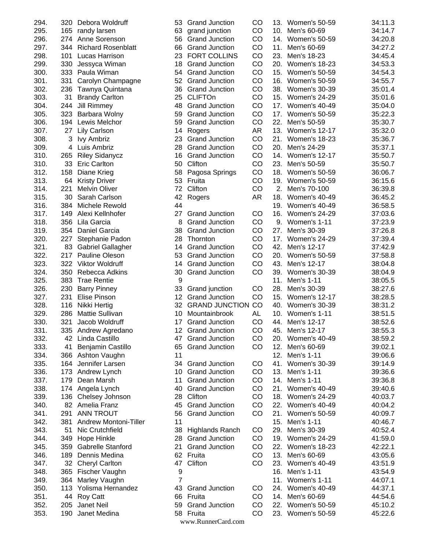| 294. | 320 | Debora Woldruff                              | 53             | <b>Grand Junction</b> | CO        | 13. | <b>Women's 50-59</b> | 34:11.3 |
|------|-----|----------------------------------------------|----------------|-----------------------|-----------|-----|----------------------|---------|
| 295. | 165 | randy larsen                                 | 63             | grand junction        | CO        |     | 10. Men's 60-69      | 34:14.7 |
| 296. | 274 | Anne Sorenson                                | 56             | <b>Grand Junction</b> | CO        | 14. | <b>Women's 50-59</b> | 34:20.8 |
| 297. |     | 344 Richard Rosenblatt                       | 66             | <b>Grand Junction</b> | CO        | 11. | Men's 60-69          | 34:27.2 |
| 298. | 101 | Lucas Harrison                               | 23             | <b>FORT COLLINS</b>   | CO        | 23. | Men's 18-23          | 34:45.4 |
| 299. | 330 | Jessyca Wiman                                | 18             | <b>Grand Junction</b> | CO        |     | 20. Women's 18-23    | 34:53.3 |
| 300. | 333 | Paula Wiman                                  | 54             | <b>Grand Junction</b> | CO        | 15. | Women's 50-59        | 34:54.3 |
| 301. | 331 | Carolyn Champagne                            | 52             | <b>Grand Junction</b> | CO        | 16. | Women's 50-59        | 34:55.7 |
| 302. | 236 | Tawnya Quintana                              | 36             | <b>Grand Junction</b> | CO        |     | 38. Women's 30-39    | 35:01.4 |
| 303. | 31  | <b>Brandy Carlton</b>                        | 25             | <b>CLIFTOn</b>        | CO        |     | 15. Women's 24-29    | 35:01.6 |
| 304. | 244 | <b>Jill Rimmey</b>                           | 48             | <b>Grand Junction</b> | CO        | 17. | Women's 40-49        | 35:04.0 |
| 305. | 323 | Barbara Wolny                                | 59             | <b>Grand Junction</b> | CO        | 17. | Women's 50-59        | 35:22.3 |
| 306. | 194 | Lewis Melchor                                | 59             | <b>Grand Junction</b> | CO        | 22. | Men's 50-59          | 35:30.7 |
| 307. | 27  | <b>Lily Carlson</b>                          | 14             | Rogers                | AR        |     | 13. Women's 12-17    | 35:32.0 |
| 308. | 3   | <b>Ivy Ambriz</b>                            | 23             | <b>Grand Junction</b> | CO        | 21. | Women's 18-23        | 35:36.7 |
| 309. | 4   | Luis Ambriz                                  | 28             | <b>Grand Junction</b> | CO        | 20. | Men's 24-29          | 35:37.1 |
| 310. | 265 | <b>Riley Sidanycz</b>                        | 16             | <b>Grand Junction</b> | CO        |     | 14. Women's 12-17    | 35:50.7 |
| 310. | 33  | <b>Eric Carlton</b>                          | 50             | Clifton               | CO        | 23. | Men's 50-59          | 35:50.7 |
| 312. | 158 | Diane Krieg                                  | 58             | Pagosa Springs        | CO        |     | 18. Women's 50-59    | 36:06.7 |
| 313. |     |                                              | 53             | Fruita                | CO        | 19. | <b>Women's 50-59</b> |         |
|      | 64  | <b>Kristy Driver</b><br><b>Melvin Oliver</b> |                |                       |           |     |                      | 36:15.6 |
| 314. | 221 |                                              | 72             | Clifton               | CO        | 2.  | Men's 70-100         | 36:39.8 |
| 315. | 30  | Sarah Carlson                                | 42             | Rogers                | <b>AR</b> | 18. | <b>Women's 40-49</b> | 36:45.2 |
| 316. | 384 | Michele Rewold                               | 44             |                       |           |     | 19. Women's 40-49    | 36:58.5 |
| 317. | 149 | Alexi Kellnhofer                             | 27             | <b>Grand Junction</b> | CO        |     | 16. Women's 24-29    | 37:03.6 |
| 318. | 356 | Lila Garcia                                  | 8              | <b>Grand Junction</b> | CO        |     | 9. Women's 1-11      | 37:23.9 |
| 319. |     | 354 Daniel Garcia                            | 38             | <b>Grand Junction</b> | CO        | 27. | Men's 30-39          | 37:26.8 |
| 320. | 227 | Stephanie Padon                              | 28             | Thornton              | CO        | 17. | Women's 24-29        | 37:39.4 |
| 321. | 83  | <b>Gabriel Gallagher</b>                     | 14             | <b>Grand Junction</b> | CO        | 42. | Men's 12-17          | 37:42.9 |
| 322. | 217 | Pauline Oleson                               | 53             | <b>Grand Junction</b> | CO        | 20. | <b>Women's 50-59</b> | 37:58.8 |
| 323. |     | 322 Viktor Woldruff                          | 14             | <b>Grand Junction</b> | CO        | 43. | Men's 12-17          | 38:04.8 |
| 324. | 350 | Rebecca Adkins                               | 30             | <b>Grand Junction</b> | CO        | 39. | Women's 30-39        | 38:04.9 |
| 325. | 383 | <b>Trae Rentie</b>                           | 9              |                       |           | 11. | Men's 1-11           | 38:05.5 |
| 326. | 230 | <b>Barry Pinney</b>                          | 33             | Grand junction        | CO        | 28. | Men's 30-39          | 38:27.6 |
| 327. | 231 | <b>Elise Pinson</b>                          | 12             | <b>Grand Junction</b> | CO        | 15. | Women's 12-17        | 38:28.5 |
| 328. | 116 | Nikki Hertig                                 | 32             | <b>GRAND JUNCTION</b> | CO        | 40. | Women's 30-39        | 38:31.2 |
| 329. | 286 | <b>Mattie Sullivan</b>                       | 10             | Mountainbrook         | AL        |     | 10. Women's 1-11     | 38:51.5 |
| 330. | 321 | Jacob Woldruff                               | 17             | <b>Grand Junction</b> | CO        |     | 44. Men's 12-17      | 38:52.6 |
| 331. |     | 335 Andrew Agredano                          |                | 12 Grand Junction     | CO        |     | 45. Men's 12-17      | 38:55.3 |
| 332. |     | 42 Linda Castillo                            |                | 47 Grand Junction     | CO        |     | 20. Women's 40-49    | 38:59.2 |
| 333. | 41  | Benjamin Castillo                            | 65             | <b>Grand Junction</b> | CO        |     | 12. Men's 60-69      | 39:02.1 |
| 334. |     | 366 Ashton Vaughn                            | 11             |                       |           |     | 12. Men's 1-11       | 39:06.6 |
| 335. |     | 164 Jennifer Larsen                          |                | 34 Grand Junction     | CO        |     | 41. Women's 30-39    | 39:14.9 |
| 336. |     | 173 Andrew Lynch                             |                | 10 Grand Junction     | CO        |     | 13. Men's 1-11       | 39:36.6 |
| 337. |     | 179 Dean Marsh                               | 11             | <b>Grand Junction</b> | CO        |     | 14. Men's 1-11       | 39:36.8 |
| 338. |     | 174 Angela Lynch                             | 40             | <b>Grand Junction</b> | CO        |     | 21. Women's 40-49    | 39:40.6 |
| 339. |     | 136 Chelsey Johnson                          | 28             | Clifton               | CO        |     | 18. Women's 24-29    | 40:03.7 |
| 340. |     | 82 Amelia Franz                              | 45             | <b>Grand Junction</b> | CO        |     | 22. Women's 40-49    | 40:04.2 |
| 341. | 291 | <b>ANN TROUT</b>                             |                | 56 Grand Junction     | CO        |     | 21. Women's 50-59    | 40:09.7 |
| 342. | 381 | Andrew Montoni-Tiller                        | 11             |                       |           |     | 15. Men's 1-11       | 40:46.7 |
| 343. | 51  | Nic Crutchfield                              |                | 38 Highlands Ranch    | CO        |     | 29. Men's 30-39      | 40:52.4 |
| 344. | 349 | Hope Hinkle                                  |                | 28 Grand Junction     | CO        |     | 19. Women's 24-29    | 41:59.0 |
|      | 359 | <b>Gabrelle Stanford</b>                     | 21             |                       | CO        |     | 22. Women's 18-23    |         |
| 345. |     |                                              |                | <b>Grand Junction</b> |           |     |                      | 42:22.1 |
| 346. | 189 | Dennis Medina                                |                | 62 Fruita             | CO        |     | 13. Men's 60-69      | 43:05.6 |
| 347. |     | 32 Cheryl Carlton                            |                | 47 Clifton            | CO        |     | 23. Women's 40-49    | 43:51.9 |
| 348. |     | 365 Fischer Vaughn                           | 9              |                       |           |     | 16. Men's 1-11       | 43:54.9 |
| 349. |     | 364 Marley Vaughn                            | $\overline{7}$ |                       |           |     | 11. Women's 1-11     | 44:07.1 |
| 350. |     | 113 Yolisma Hernandez                        | 43             | <b>Grand Junction</b> | CO        |     | 24. Women's 40-49    | 44:37.1 |
| 351. |     | 44 Roy Catt                                  | 66             | Fruita                | CO        |     | 14. Men's 60-69      | 44:54.6 |
| 352. | 205 | Janet Neil                                   | 59             | <b>Grand Junction</b> | CO        |     | 22. Women's 50-59    | 45:10.2 |
| 353. | 190 | Janet Medina                                 |                | 58 Fruita             | CO        |     | 23. Women's 50-59    | 45:22.6 |
|      |     |                                              |                | www.RunnerCard.com    |           |     |                      |         |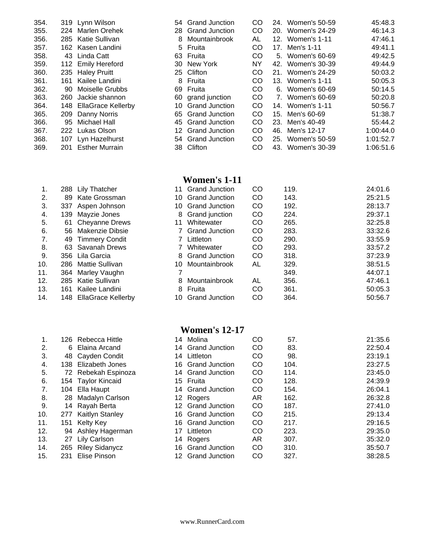| 354. | 319 | Lynn Wilson               |
|------|-----|---------------------------|
| 355. | 224 | Marlen Orehek             |
| 356. | 285 | Katie Sullivan            |
| 357. | 162 | Kasen Landini             |
| 358. | 43  | Linda Catt                |
| 359. | 112 | <b>Emily Hereford</b>     |
| 360. | 235 | <b>Haley Pruitt</b>       |
| 361. | 161 | Kailee Landini            |
| 362. | 90  | Moiselle Grubbs           |
| 363. | 260 | Jackie shannon            |
| 364. | 148 | <b>EllaGrace Kellerby</b> |
| 365. | 209 | Danny Norris              |
| 366. | 95  | Michael Hall              |
| 367. | 222 | Lukas Olson               |
| 368. | 107 | Lyn Hazelhurst            |
| 369. | 201 | Esther Murrain            |

| 1.             | 288 | <b>Lily Thatcher</b>   |
|----------------|-----|------------------------|
| 2.             | 89  | Kate Grossman          |
| 3.             | 337 | Aspen Johnson          |
| 4.             | 139 | Mayzie Jones           |
| 5.             | 61  | <b>Cheyanne Drews</b>  |
| 6.             | 56  | <b>Makenzie Dibsie</b> |
| 7 <sub>1</sub> | 49  | <b>Timmery Condit</b>  |
| 8.             | 63  | Savanah Drews          |
| 9.             | 356 | Lila Garcia            |
| 10.            | 286 | Mattie Sullivan        |
| 11.            | 364 | Marley Vaughn          |
| 12.            | 285 | Katie Sullivan         |
| 13.            | 161 | Kailee Landini         |
|                |     |                        |

| 1.               | 126 | Rebecca Hittle        |
|------------------|-----|-----------------------|
| $\overline{2}$ . | 6   | Elaina Arcand         |
| 3.               | 48  | Cayden Condit         |
| 4.               | 138 | Elizabeth Jones       |
| 5.               | 72  | Rebekah Espinoza      |
| 6.               | 154 | <b>Taylor Kincaid</b> |
| 7.               | 104 | Ella Haupt            |
| 8.               | 28  | Madalyn Carlson       |
| 9.               | 14  | Rayah Berta           |
| 10.              | 277 | Kaitlyn Stanley       |
| 11.              | 151 | Kelty Key             |
| 12.              | 94  | Ashley Hagerman       |
| 13.              | 27  | Lily Carlson          |
| 14.              | 265 | <b>Riley Sidanycz</b> |
| 15.              | 231 | Elise Pinson          |
|                  |     |                       |

| 354. |     | 319 Lynn Wilson       |    | 54 Grand Junction | CO  | 24. | Women's 50-59     | 45:48.3   |
|------|-----|-----------------------|----|-------------------|-----|-----|-------------------|-----------|
| 355. | 224 | Marlen Orehek         |    | 28 Grand Junction | CO  |     | 20. Women's 24-29 | 46:14.3   |
| 356. |     | 285 Katie Sullivan    | 8  | Mountainbrook     | AL  |     | 12. Women's 1-11  | 47:46.1   |
| 357. |     | 162 Kasen Landini     |    | 5 Fruita          | CO. |     | 17. Men's 1-11    | 49:41.1   |
| 358. | 43  | Linda Catt            |    | 63 Fruita         | CO. |     | 5. Women's 60-69  | 49:42.5   |
| 359. |     | 112 Emily Hereford    |    | 30 New York       | ΝY  |     | 42. Women's 30-39 | 49:44.9   |
| 360. |     | 235 Haley Pruitt      |    | 25 Clifton        | CO. |     | 21. Women's 24-29 | 50:03.2   |
| 361. | 161 | Kailee Landini        | 8. | Fruita            | CO. |     | 13. Women's 1-11  | 50:05.3   |
| 362. | 90  | Moiselle Grubbs       |    | 69 Fruita         | CO. |     | 6. Women's 60-69  | 50:14.5   |
| 363. | 260 | Jackie shannon        |    | 60 grand junction | CO  |     | 7. Women's 60-69  | 50:20.8   |
| 364. | 148 | EllaGrace Kellerby    |    | 10 Grand Junction | CO  |     | 14. Women's 1-11  | 50:56.7   |
| 365. | 209 | Danny Norris          |    | 65 Grand Junction | CO  |     | 15. Men's 60-69   | 51:38.7   |
| 366. | 95  | Michael Hall          |    | 45 Grand Junction | CO  |     | 23. Men's 40-49   | 55:44.2   |
| 367. | 222 | Lukas Olson           |    | 12 Grand Junction | CO  | 46. | Men's 12-17       | 1:00:44.0 |
| 368. | 107 | Lyn Hazelhurst        |    | 54 Grand Junction | CO  |     | 25. Women's 50-59 | 1:01:52.7 |
| 369. | 201 | <b>Esther Murrain</b> |    | 38 Clifton        | CO. |     | 43. Women's 30-39 | 1:06:51.6 |
|      |     |                       |    |                   |     |     |                   |           |

## **Women's 1-11**

| 1.  |     | 288 Lily Thatcher      |    | <b>Grand Junction</b> | CO | 119. | 24:01.6 |
|-----|-----|------------------------|----|-----------------------|----|------|---------|
| 2.  | 89  | Kate Grossman          |    | 10 Grand Junction     | CO | 143. | 25:21.5 |
| 3.  | 337 | Aspen Johnson          | 10 | <b>Grand Junction</b> | CO | 192. | 28:13.7 |
| 4.  | 139 | Mayzie Jones           | 8  | Grand junction        | CO | 224. | 29:37.1 |
| 5.  | 61  | <b>Cheyanne Drews</b>  | 11 | Whitewater            | CO | 265. | 32:25.8 |
| 6.  | 56  | Makenzie Dibsie        |    | <b>Grand Junction</b> | CO | 283. | 33:32.6 |
| 7.  |     | 49 Timmery Condit      |    | Littleton             | CO | 290. | 33:55.9 |
| 8.  |     | 63 Savanah Drews       |    | Whitewater            | CO | 293. | 33:57.2 |
| 9.  |     | 356 Lila Garcia        | 8  | <b>Grand Junction</b> | CO | 318. | 37:23.9 |
| 10. |     | 286 Mattie Sullivan    | 10 | Mountainbrook         | AL | 329. | 38:51.5 |
| 11. | 364 | Marley Vaughn          |    |                       |    | 349. | 44:07.1 |
| 12. |     | 285 Katie Sullivan     | 8  | Mountainbrook         | AL | 356. | 47:46.1 |
| 13. | 161 | Kailee Landini         | 8  | Fruita                | CO | 361. | 50:05.3 |
| 14. |     | 148 EllaGrace Kellerby | 10 | <b>Grand Junction</b> | CO | 364. | 50:56.7 |

### **Women's 12-17**

| 1.  |     | 126 Rebecca Hittle  | 14 | Molina            | CO        | 57.  | 21:35.6 |
|-----|-----|---------------------|----|-------------------|-----------|------|---------|
| 2.  |     | 6 Elaina Arcand     |    | 14 Grand Junction | CO        | 83.  | 22:50.4 |
| 3.  |     | 48 Cayden Condit    | 14 | Littleton         | CO        | 98.  | 23:19.1 |
| 4.  |     | 138 Elizabeth Jones |    | 16 Grand Junction | CO        | 104. | 23:27.5 |
| 5.  |     | 72 Rebekah Espinoza |    | 14 Grand Junction | CO        | 114. | 23:45.0 |
| 6.  |     | 154 Taylor Kincaid  |    | 15 Fruita         | <b>CO</b> | 128. | 24:39.9 |
| 7.  |     | 104 Ella Haupt      |    | 14 Grand Junction | CO        | 154. | 26:04.1 |
| 8.  | 28  | Madalyn Carlson     |    | 12 Rogers         | AR        | 162. | 26:32.8 |
| 9.  |     | 14 Rayah Berta      |    | 12 Grand Junction | <b>CO</b> | 187. | 27:41.0 |
| 10. |     | 277 Kaitlyn Stanley |    | 16 Grand Junction | <b>CO</b> | 215. | 29:13.4 |
| 11. | 151 | <b>Kelty Key</b>    |    | 16 Grand Junction | CO        | 217. | 29:16.5 |
| 12. | 94  | Ashley Hagerman     |    | 17 Littleton      | CO        | 223. | 29:35.0 |
| 13. | 27  | Lily Carlson        |    | 14 Rogers         | AR.       | 307. | 35:32.0 |
| 14. |     | 265 Riley Sidanycz  |    | 16 Grand Junction | <b>CO</b> | 310. | 35:50.7 |
| 15. | 231 | <b>Elise Pinson</b> |    | 12 Grand Junction | CO.       | 327. | 38:28.5 |
|     |     |                     |    |                   |           |      |         |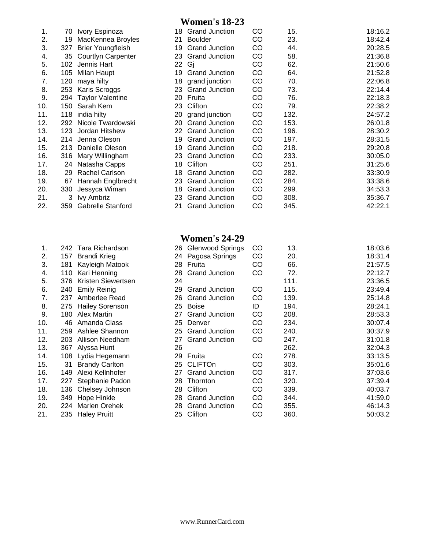## **Women's 18-23**

| 1.  | 70   | Ivory Espinoza            | 18 | <b>Grand Junction</b> | CO | 15.  | 18:16.2 |
|-----|------|---------------------------|----|-----------------------|----|------|---------|
| 2.  | 19   | MacKennea Broyles         | 21 | Boulder               | CO | 23.  | 18:42.4 |
| 3.  | 327  | <b>Brier Youngfleish</b>  | 19 | <b>Grand Junction</b> | CO | 44.  | 20:28.5 |
| 4.  | 35   | <b>Courtlyn Carpenter</b> | 23 | <b>Grand Junction</b> | CO | 58.  | 21:36.8 |
| 5.  | 102  | Jennis Hart               | 22 | Gi                    | CO | 62.  | 21:50.6 |
| 6.  | 105  | Milan Haupt               | 19 | <b>Grand Junction</b> | CO | 64.  | 21:52.8 |
| 7.  | 120  | maya hilty                | 18 | grand junction        | CO | 70.  | 22:06.8 |
| 8.  | 253  | Karis Scroggs             | 23 | <b>Grand Junction</b> | CO | 73.  | 22:14.4 |
| 9.  | 294  | <b>Taylor Valentine</b>   | 20 | Fruita                | CO | 76.  | 22:18.3 |
| 10. | 150  | Sarah Kem                 | 23 | Clifton               | CO | 79.  | 22:38.2 |
| 11. | 118  | india hilty               | 20 | grand junction        | CO | 132. | 24:57.2 |
| 12. | 292  | Nicole Twardowski         | 20 | <b>Grand Junction</b> | CO | 153. | 26:01.8 |
| 13. | 123. | Jordan Hitshew            | 22 | <b>Grand Junction</b> | CO | 196. | 28:30.2 |
| 14. | 214  | Jenna Oleson              | 19 | <b>Grand Junction</b> | CO | 197. | 28:31.5 |
| 15. | 213  | Danielle Oleson           | 19 | <b>Grand Junction</b> | CO | 218. | 29:20.8 |
| 16. | 316  | Mary Willingham           | 23 | <b>Grand Junction</b> | CO | 233. | 30:05.0 |
| 17. | 24   | Natasha Capps             | 18 | Clifton               | CO | 251. | 31:25.6 |
| 18. | 29   | Rachel Carlson            | 18 | <b>Grand Junction</b> | CO | 282. | 33:30.9 |
| 19. | 67   | Hannah Englbrecht         | 23 | <b>Grand Junction</b> | CO | 284. | 33:38.6 |
| 20. | 330  | Jessyca Wiman             | 18 | <b>Grand Junction</b> | CO | 299. | 34:53.3 |
| 21. | 3    | <b>Ivy Ambriz</b>         | 23 | <b>Grand Junction</b> | CO | 308. | 35:36.7 |
| 22. | 359  | Gabrelle Stanford         | 21 | <b>Grand Junction</b> | CO | 345. | 42:22.1 |

| 1.               | 242 | Tara Richardson        |
|------------------|-----|------------------------|
| 2.               | 157 | Brandi Krieg           |
| 3.               | 181 | Kayleigh Matook        |
| 4.               | 110 | Kari Henning           |
| 5.               | 376 | Kristen Siewertsen     |
| 6.               | 240 | <b>Emily Reinig</b>    |
| 7.               | 237 | Amberlee Read          |
| 8.               | 275 | <b>Hailey Sorenson</b> |
| 9.               | 180 | <b>Alex Martin</b>     |
| 0.               | 46  | Amanda Class           |
| $\overline{1}$ . | 259 | Ashlee Shannon         |
| 2.               | 203 | Allison Needham        |
| 3.               | 367 | Alyssa Hunt            |
| 4.               | 108 | Lydia Hegemann         |
| 5.               | 31  | <b>Brandy Carlton</b>  |
| 6.               | 149 | Alexi Kellnhofer       |
| 7.               | 227 | Stephanie Padon        |
| 8.               | 136 | Chelsey Johnson        |
| 9.               | 349 | Hope Hinkle            |
| 20.              | 224 | Marlen Orehek          |
| ؛1               | 235 | <b>Haley Pruitt</b>    |
|                  |     |                        |

## **Women's 24-29**

| 1.  |     | 242 Tara Richardson    |    | 26 Glenwood Springs   | CO | 13.  | 18:03.6 |
|-----|-----|------------------------|----|-----------------------|----|------|---------|
| 2.  | 157 | <b>Brandi Krieg</b>    |    | 24 Pagosa Springs     | CO | 20.  | 18:31.4 |
| 3.  | 181 | Kayleigh Matook        |    | 28 Fruita             | CO | 66.  | 21:57.5 |
| 4.  | 110 | Kari Henning           | 28 | <b>Grand Junction</b> | CO | 72.  | 22:12.7 |
|     |     |                        |    |                       |    |      |         |
| 5.  | 376 | Kristen Siewertsen     | 24 |                       |    | 111. | 23:36.5 |
| 6.  | 240 | <b>Emily Reinig</b>    | 29 | <b>Grand Junction</b> | CO | 115. | 23:49.4 |
| 7.  | 237 | Amberlee Read          | 26 | <b>Grand Junction</b> | CO | 139. | 25:14.8 |
| 8.  | 275 | <b>Hailey Sorenson</b> | 25 | <b>Boise</b>          | ID | 194. | 28:24.1 |
| 9.  | 180 | Alex Martin            | 27 | <b>Grand Junction</b> | CO | 208. | 28:53.3 |
| 10. | 46  | Amanda Class           | 25 | Denver                | CO | 234. | 30:07.4 |
| 11. | 259 | Ashlee Shannon         | 25 | <b>Grand Junction</b> | CO | 240. | 30:37.9 |
| 12. | 203 | Allison Needham        | 27 | <b>Grand Junction</b> | CO | 247. | 31:01.8 |
| 13. |     | 367 Alyssa Hunt        | 26 |                       |    | 262. | 32:04.3 |
| 14. | 108 | Lydia Hegemann         | 29 | Fruita                | CO | 278. | 33:13.5 |
| 15. | 31  | <b>Brandy Carlton</b>  |    | 25 CLIFTOn            | CO | 303. | 35:01.6 |
| 16. | 149 | Alexi Kellnhofer       | 27 | <b>Grand Junction</b> | CO | 317. | 37:03.6 |
| 17. | 227 | Stephanie Padon        | 28 | Thornton              | CO | 320. | 37:39.4 |
| 18. | 136 | Chelsey Johnson        | 28 | Clifton               | CO | 339. | 40:03.7 |
| 19. | 349 | Hope Hinkle            | 28 | <b>Grand Junction</b> | CO | 344. | 41:59.0 |
| 20. | 224 | Marlen Orehek          | 28 | <b>Grand Junction</b> | CO | 355. | 46:14.3 |
| 21. |     | 235 Haley Pruitt       |    | 25 Clifton            | CO | 360. | 50:03.2 |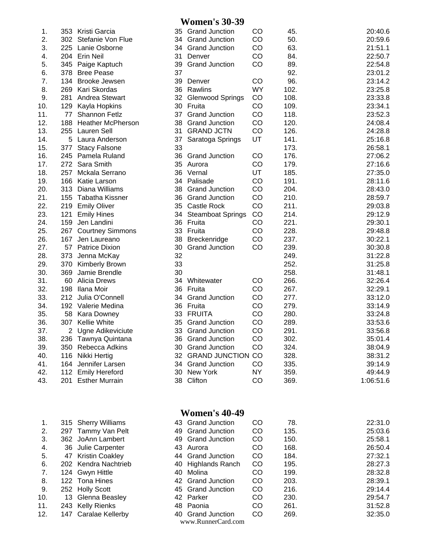#### **Women's 30-39**

| 1.  |     | 353 Kristi Garcia        | 35 | <b>Grand Junction</b>   | CO        | 45.  | 20:40.6   |
|-----|-----|--------------------------|----|-------------------------|-----------|------|-----------|
| 2.  |     | 302 Stefanie Von Flue    |    | 34 Grand Junction       | CO        | 50.  | 20:59.6   |
| 3.  |     | 225 Lanie Osborne        |    | 34 Grand Junction       | CO        | 63.  | 21:51.1   |
| 4.  |     | 204 Erin Neil            | 31 | Denver                  | CO        | 84.  | 22:50.7   |
| 5.  |     | 345 Paige Kaptuch        | 39 | <b>Grand Junction</b>   | CO        | 89.  | 22:54.8   |
| 6.  | 378 | <b>Bree Pease</b>        | 37 |                         |           | 92.  | 23:01.2   |
| 7.  |     | 134 Brooke Jewsen        | 39 | Denver                  | CO        | 96.  | 23:14.2   |
| 8.  |     | 269 Kari Skordas         |    | 36 Rawlins              | <b>WY</b> | 102. | 23:25.8   |
| 9.  |     | 281 Andrea Stewart       | 32 | <b>Glenwood Springs</b> | CO        | 108. | 23:33.8   |
| 10. |     | 129 Kayla Hopkins        | 30 | Fruita                  | CO        | 109. | 23:34.1   |
| 11. |     | 77 Shannon Fetlz         |    | 37 Grand Junction       | CO        | 118. | 23:52.3   |
| 12. | 188 | <b>Heather McPherson</b> |    | 38 Grand Junction       | CO        | 120. | 24:08.4   |
| 13. |     | 255 Lauren Sell          |    | 31 GRAND JCTN           | CO        | 126. | 24:28.8   |
| 14. |     | 5 Laura Anderson         | 37 | Saratoga Springs        | UT        | 141. | 25:16.8   |
| 15. | 377 | <b>Stacy Falsone</b>     | 33 |                         |           | 173. | 26:58.1   |
| 16. |     | 245 Pamela Ruland        | 36 | <b>Grand Junction</b>   | CO        | 176. | 27:06.2   |
| 17. |     | 272 Sara Smith           |    | 35 Aurora               | CO        | 179. | 27:16.6   |
| 18. | 257 | Mckala Serrano           |    | 36 Vernal               | UT        | 185. | 27:35.0   |
| 19. |     | 166 Katie Larson         | 34 | Palisade                | CO        | 191. | 28:11.6   |
| 20. | 313 | Diana Williams           |    | 38 Grand Junction       | CO        | 204. | 28:43.0   |
| 21. |     | 155 Tabatha Kissner      |    | 36 Grand Junction       | CO        | 210. | 28:59.7   |
| 22. |     | 219 Emily Oliver         |    | 35 Castle Rock          | CO        | 211. | 29:03.8   |
| 23. | 121 | <b>Emily Hines</b>       |    | 34 Steamboat Springs    | CO        | 214. | 29:12.9   |
| 24. |     | 159 Jen Landini          |    | 36 Fruita               | CO        | 221. | 29:30.1   |
| 25. |     | 267 Courtney Simmons     |    | 33 Fruita               | CO        | 228. | 29:48.8   |
| 26. | 167 | Jen Laureano             | 38 | Breckenridge            | CO        | 237. | 30:22.1   |
| 27. |     | 57 Patrice Dixion        | 30 | <b>Grand Junction</b>   | CO        | 239. | 30:30.8   |
| 28. |     | 373 Jenna McKay          | 32 |                         |           | 249. | 31:22.8   |
| 29. |     | 370 Kimberly Brown       | 33 |                         |           | 252. | 31:25.8   |
| 30. | 369 | Jamie Brendle            | 30 |                         |           | 258. | 31:48.1   |
| 31. | 60  | <b>Alicia Drews</b>      | 34 | Whitewater              | CO        | 266. | 32:26.4   |
| 32. | 198 | Ilana Moir               | 36 | Fruita                  | CO        | 267. | 32:29.1   |
| 33. |     | 212 Julia O'Connell      | 34 | <b>Grand Junction</b>   | CO        | 277. | 33:12.0   |
| 34. |     | 192 Valerie Medina       |    | 36 Fruita               | CO        | 279. | 33:14.9   |
| 35. |     | 58 Kara Downey           |    | 33 FRUITA               | CO        | 280. | 33:24.8   |
| 36. |     | 307 Kellie White         |    | 35 Grand Junction       | CO        | 289. | 33:53.6   |
| 37. |     | 2 Ugne Adikeviciute      |    | 33 Grand Junction       | CO        | 291. | 33:56.8   |
| 38. |     | 236 Tawnya Quintana      |    | 36 Grand Junction       | CO        | 302. | 35:01.4   |
| 39. |     | 350 Rebecca Adkins       |    | 30 Grand Junction       | CO        | 324. | 38:04.9   |
| 40. |     | 116 Nikki Hertig         |    | 32 GRAND JUNCTION CO    |           | 328. | 38:31.2   |
| 41. |     | 164 Jennifer Larsen      |    | 34 Grand Junction       | CO        | 335. | 39:14.9   |
| 42. |     | 112 Emily Hereford       |    | 30 New York             | <b>NY</b> | 359. | 49:44.9   |
| 43. |     | 201 Esther Murrain       |    | 38 Clifton              | CO        | 369. | 1:06:51.6 |
|     |     |                          |    |                         |           |      |           |

| 1.  |     | 315 Sherry Williams  |
|-----|-----|----------------------|
| 2.  | 297 | Tammy Van Pelt       |
| 3.  |     | 362 JoAnn Lambert    |
| 4.  |     | 36 Julie Carpenter   |
| 5.  |     | 47 Kristin Coakley   |
| 6.  |     | 202 Kendra Nachtrieb |
| 7.  |     | 124 Gwyn Hittle      |
| 8.  |     | 122 Tona Hines       |
| 9.  |     | 252 Holly Scott      |
| 10. |     | 13 Glenna Beasley    |
| 11. |     | 243 Kelly Rienks     |
| 12. |     | 147 Caralae Kellerby |

## **Women's 40-49**

|  |                                                                                                                                                                                                                                                             | <b>CO</b>                                                                                                                                                                                                                                       | 78.  | 22:31.0 |
|--|-------------------------------------------------------------------------------------------------------------------------------------------------------------------------------------------------------------------------------------------------------------|-------------------------------------------------------------------------------------------------------------------------------------------------------------------------------------------------------------------------------------------------|------|---------|
|  |                                                                                                                                                                                                                                                             | CO                                                                                                                                                                                                                                              | 135. | 25:03.6 |
|  |                                                                                                                                                                                                                                                             | CO                                                                                                                                                                                                                                              | 150. | 25:58.1 |
|  |                                                                                                                                                                                                                                                             | CO                                                                                                                                                                                                                                              | 168. | 26:50.4 |
|  |                                                                                                                                                                                                                                                             | CO                                                                                                                                                                                                                                              | 184. | 27:32.1 |
|  |                                                                                                                                                                                                                                                             | <sub>CO</sub>                                                                                                                                                                                                                                   | 195. | 28:27.3 |
|  |                                                                                                                                                                                                                                                             | CO                                                                                                                                                                                                                                              | 199. | 28:32.8 |
|  |                                                                                                                                                                                                                                                             | CO                                                                                                                                                                                                                                              | 203. | 28:39.1 |
|  |                                                                                                                                                                                                                                                             | CO                                                                                                                                                                                                                                              | 216. | 29:14.4 |
|  |                                                                                                                                                                                                                                                             | CO                                                                                                                                                                                                                                              | 230. | 29:54.7 |
|  |                                                                                                                                                                                                                                                             | CO                                                                                                                                                                                                                                              | 261. | 31:52.8 |
|  |                                                                                                                                                                                                                                                             | <b>CO</b>                                                                                                                                                                                                                                       | 269. | 32:35.0 |
|  | 315 Sherry Williams<br>297 Tammy Van Pelt<br>362 JoAnn Lambert<br>36 Julie Carpenter<br>47 Kristin Coakley<br>202 Kendra Nachtrieb<br>124 Gwyn Hittle<br>122 Tona Hines<br>252 Holly Scott<br>13 Glenna Beasley<br>243 Kelly Rienks<br>147 Caralae Kellerby | 43 Grand Junction<br>49 Grand Junction<br>49 Grand Junction<br>43 Aurora<br>44 Grand Junction<br>40 Highlands Ranch<br>40 Molina<br>42 Grand Junction<br>45 Grand Junction<br>42 Parker<br>48 Paonia<br>40 Grand Junction<br>www.RunnerCard.com |      |         |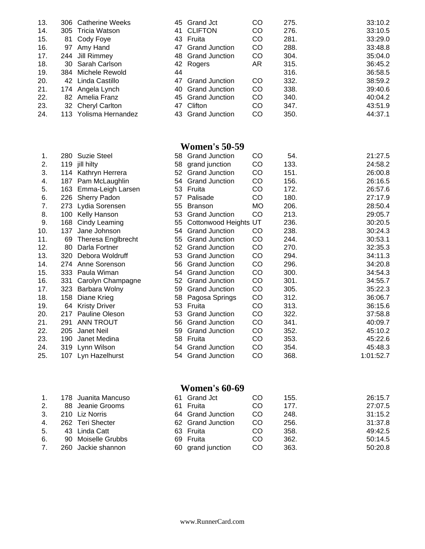|    |                                                                                                                                                                                                                                          | CO                                                                                                                                                                                               | 275. | 33:10.2 |
|----|------------------------------------------------------------------------------------------------------------------------------------------------------------------------------------------------------------------------------------------|--------------------------------------------------------------------------------------------------------------------------------------------------------------------------------------------------|------|---------|
|    |                                                                                                                                                                                                                                          | <b>CO</b>                                                                                                                                                                                        | 276. | 33:10.5 |
| 81 |                                                                                                                                                                                                                                          | CO                                                                                                                                                                                               | 281. | 33:29.0 |
| 97 |                                                                                                                                                                                                                                          | <b>CO</b>                                                                                                                                                                                        | 288. | 33:48.8 |
|    |                                                                                                                                                                                                                                          | <b>CO</b>                                                                                                                                                                                        | 304. | 35:04.0 |
|    |                                                                                                                                                                                                                                          | AR.                                                                                                                                                                                              | 315. | 36:45.2 |
|    | 44                                                                                                                                                                                                                                       |                                                                                                                                                                                                  | 316. | 36:58.5 |
|    |                                                                                                                                                                                                                                          | CO                                                                                                                                                                                               | 332. | 38:59.2 |
|    |                                                                                                                                                                                                                                          | <b>CO</b>                                                                                                                                                                                        | 338. | 39:40.6 |
|    |                                                                                                                                                                                                                                          | CO                                                                                                                                                                                               | 340. | 40:04.2 |
|    |                                                                                                                                                                                                                                          | <b>CO</b>                                                                                                                                                                                        | 347. | 43:51.9 |
|    |                                                                                                                                                                                                                                          | CO                                                                                                                                                                                               | 350. | 44:37.1 |
|    | 306 Catherine Weeks<br>305 Tricia Watson<br>Cody Foye<br>Amy Hand<br>244 Jill Rimmey<br>30 Sarah Carlson<br>384 Michele Rewold<br>42 Linda Castillo<br>174 Angela Lynch<br>82 Amelia Franz<br>32 Cheryl Carlton<br>113 Yolisma Hernandez | 45 Grand Jct<br>41 CLIFTON<br>43 Fruita<br>47 Grand Junction<br>48 Grand Junction<br>42 Rogers<br>47 Grand Junction<br>40 Grand Junction<br>45 Grand Junction<br>47 Clifton<br>43 Grand Junction |      |         |

#### **Women's 50-59**

| 1.  | 280. | <b>Suzie Steel</b>   | 58 | <b>Grand Junction</b> | CO        | 54.  | 21:27.5   |
|-----|------|----------------------|----|-----------------------|-----------|------|-----------|
| 2.  | 119  | jill hilty           | 58 | grand junction        | CO        | 133. | 24:58.2   |
| 3.  |      | 114 Kathryn Herrera  |    | 52 Grand Junction     | CO        | 151. | 26:00.8   |
| 4.  | 187  | Pam McLaughlin       | 54 | <b>Grand Junction</b> | CO        | 156. | 26:16.5   |
| 5.  | 163  | Emma-Leigh Larsen    |    | 53 Fruita             | CO        | 172. | 26:57.6   |
| 6.  | 226  | <b>Sherry Padon</b>  | 57 | Palisade              | CO        | 180. | 27:17.9   |
| 7.  | 273  | Lydia Sorensen       | 55 | <b>Branson</b>        | <b>MO</b> | 206. | 28:50.4   |
| 8.  | 100  | Kelly Hanson         | 53 | <b>Grand Junction</b> | CO        | 213. | 29:05.7   |
| 9.  | 168  | Cindy Leaming        | 55 | Cottonwood Heights UT |           | 236. | 30:20.5   |
| 10. | 137  | Jane Johnson         | 54 | <b>Grand Junction</b> | CO        | 238. | 30:24.3   |
| 11. | 69   | Theresa Englbrecht   | 55 | <b>Grand Junction</b> | CO        | 244. | 30:53.1   |
| 12. | 80   | Darla Fortner        | 52 | <b>Grand Junction</b> | CO        | 270. | 32:35.3   |
| 13. | 320  | Debora Woldruff      | 53 | <b>Grand Junction</b> | CO        | 294. | 34:11.3   |
| 14. | 274  | Anne Sorenson        | 56 | <b>Grand Junction</b> | CO        | 296. | 34:20.8   |
| 15. | 333  | Paula Wiman          | 54 | <b>Grand Junction</b> | CO        | 300. | 34:54.3   |
| 16. | 331  | Carolyn Champagne    | 52 | <b>Grand Junction</b> | CO        | 301. | 34:55.7   |
| 17. | 323  | Barbara Wolny        | 59 | <b>Grand Junction</b> | CO        | 305. | 35:22.3   |
| 18. | 158  | Diane Krieg          | 58 | Pagosa Springs        | CO        | 312. | 36:06.7   |
| 19. | 64   | <b>Kristy Driver</b> | 53 | Fruita                | CO        | 313. | 36:15.6   |
| 20. | 217  | Pauline Oleson       | 53 | <b>Grand Junction</b> | CO        | 322. | 37:58.8   |
| 21. | 291  | <b>ANN TROUT</b>     | 56 | <b>Grand Junction</b> | CO        | 341. | 40:09.7   |
| 22. | 205  | Janet Neil           | 59 | <b>Grand Junction</b> | CO        | 352. | 45:10.2   |
| 23. | 190  | Janet Medina         | 58 | Fruita                | CO        | 353. | 45:22.6   |
| 24. |      | 319 Lynn Wilson      | 54 | <b>Grand Junction</b> | CO        | 354. | 45:48.3   |
| 25. | 107  | Lyn Hazelhurst       | 54 | <b>Grand Junction</b> | CO        | 368. | 1:01:52.7 |
|     |      |                      |    |                       |           |      |           |

### **Women's 60-69**

| 1.             | 178 Juanita Mancuso | 61 Grand Jct      | CO            | 155. | 26:15.7 |
|----------------|---------------------|-------------------|---------------|------|---------|
| 2.             | 88 Jeanie Grooms    | 61 Fruita         | <sub>CO</sub> | 177. | 27:07.5 |
| 3.             | 210 Liz Norris      | 64 Grand Junction | <sub>CO</sub> | 248. | 31:15.2 |
| 4.             | 262 Teri Shecter    | 62 Grand Junction | <sub>CO</sub> | 256. | 31:37.8 |
| 5 <sub>1</sub> | 43 Linda Catt       | 63 Fruita         | CO            | 358. | 49:42.5 |
| 6.             | 90 Moiselle Grubbs  | 69 Fruita         | CO            | 362. | 50:14.5 |
| 7 <sub>1</sub> | 260 Jackie shannon  | 60 grand junction | <sub>CO</sub> | 363. | 50:20.8 |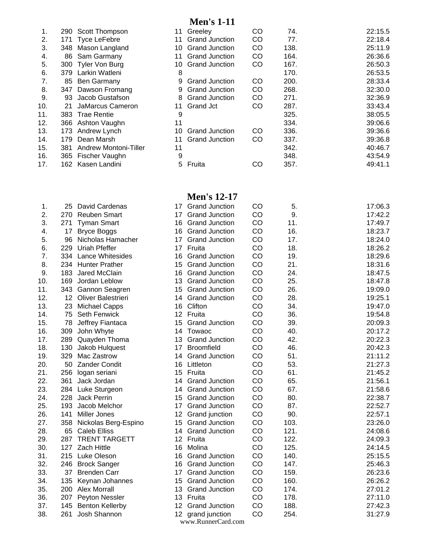## **Men's 1-11**

| 1.  |     | 290 Scott Thompson    |     | 11 Greeley            | CO            | 74.  | 22:15.5 |
|-----|-----|-----------------------|-----|-----------------------|---------------|------|---------|
| 2.  |     | 171 Tyce LeFebre      | 11  | <b>Grand Junction</b> | <sub>CO</sub> | 77.  | 22:18.4 |
| 3.  | 348 | Mason Langland        |     | 10 Grand Junction     | CO            | 138. | 25:11.9 |
| 4.  | 86  | Sam Garmany           | 11  | <b>Grand Junction</b> | <b>CO</b>     | 164. | 26:36.6 |
| 5.  |     | 300 Tyler Von Burg    | 10. | <b>Grand Junction</b> | <b>CO</b>     | 167. | 26:50.3 |
| 6.  | 379 | Larkin Watleni        | 8   |                       |               | 170. | 26:53.5 |
| 7.  |     | 85 Ben Garmany        | 9   | <b>Grand Junction</b> | <b>CO</b>     | 200. | 28:33.4 |
| 8.  | 347 | Dawson Fromang        | 9   | <b>Grand Junction</b> | CO            | 268. | 32:30.0 |
| 9.  | 93  | Jacob Gustafson       | 8   | <b>Grand Junction</b> | CO            | 271. | 32:36.9 |
| 10. | 21  | JaMarcus Cameron      | 11  | <b>Grand Jct</b>      | CO            | 287. | 33:43.4 |
| 11. |     | 383 Trae Rentie       | 9   |                       |               | 325. | 38:05.5 |
| 12. |     | 366 Ashton Vaughn     | 11  |                       |               | 334. | 39:06.6 |
| 13. |     | 173 Andrew Lynch      | 10  | <b>Grand Junction</b> | <b>CO</b>     | 336. | 39:36.6 |
| 14. | 179 | Dean Marsh            | 11  | <b>Grand Junction</b> | <b>CO</b>     | 337. | 39:36.8 |
| 15. | 381 | Andrew Montoni-Tiller | 11  |                       |               | 342. | 40:46.7 |
| 16. |     | 365 Fischer Vaughn    | 9   |                       |               | 348. | 43:54.9 |
| 17. |     | 162 Kasen Landini     | 5.  | Fruita                | CO            | 357. | 49:41.1 |
|     |     |                       |     |                       |               |      |         |

## **Men's 12-17**

| 1.  | 25  | David Cardenas           | 17              | <b>Grand Junction</b> | CO | 5.   | 17:06.3 |
|-----|-----|--------------------------|-----------------|-----------------------|----|------|---------|
| 2.  | 270 | <b>Reuben Smart</b>      |                 | 17 Grand Junction     | CO | 9.   | 17:42.2 |
| 3.  | 271 | <b>Tyman Smart</b>       |                 | 16 Grand Junction     | CO | 11.  | 17:49.7 |
| 4.  | 17  | <b>Bryce Boggs</b>       |                 | 16 Grand Junction     | CO | 16.  | 18:23.7 |
| 5.  | 96  | Nicholas Hamacher        | 17 <sup>2</sup> | <b>Grand Junction</b> | CO | 17.  | 18:24.0 |
| 6.  | 229 | Uriah Pfeffer            |                 | 17 Fruita             | CO | 18.  | 18:26.2 |
| 7.  |     | 334 Lance Whitesides     |                 | 16 Grand Junction     | CO | 19.  | 18:29.6 |
| 8.  |     | 234 Hunter Prather       | 15              | <b>Grand Junction</b> | CO | 21.  | 18:31.6 |
| 9.  | 183 | Jared McClain            |                 | 16 Grand Junction     | CO | 24.  | 18:47.5 |
| 10. | 169 | Jordan Leblow            |                 | 13 Grand Junction     | CO | 25.  | 18:47.8 |
| 11. |     | 343 Gannon Seagren       |                 | 15 Grand Junction     | CO | 26.  | 19:09.0 |
| 12. |     | 12 Oliver Balestrieri    |                 | 14 Grand Junction     | CO | 28.  | 19:25.1 |
| 13. |     | 23 Michael Capps         |                 | 16 Clifton            | CO | 34.  | 19:47.0 |
| 14. | 75  | <b>Seth Fenwick</b>      |                 | 12 Fruita             | CO | 36.  | 19:54.8 |
| 15. | 78  | Jeffrey Fiantaca         | 15              | <b>Grand Junction</b> | CO | 39.  | 20:09.3 |
| 16. | 309 | John Whyte               |                 | 14 Towaoc             | CO | 40.  | 20:17.2 |
| 17. | 289 | Quayden Thoma            |                 | 13 Grand Junction     | CO | 42.  | 20:22.3 |
| 18. | 130 | Jakob Hulquest           | 17 <sup>2</sup> | <b>Broomfield</b>     | CO | 46.  | 20:42.3 |
| 19. | 329 | Mac Zastrow              | 14              | <b>Grand Junction</b> | CO | 51.  | 21:11.2 |
| 20. | 50  | <b>Zander Condit</b>     | 16              | Littleton             | CO | 53.  | 21:27.3 |
| 21. | 256 | logan seriani            |                 | 15 Fruita             | CO | 61.  | 21:45.2 |
| 22. | 361 | Jack Jordan              |                 | 14 Grand Junction     | CO | 65.  | 21:56.1 |
| 23. |     | 284 Luke Sturgeon        |                 | 14 Grand Junction     | CO | 67.  | 21:58.6 |
| 24. | 228 | Jack Perrin              |                 | 15 Grand Junction     | CO | 80.  | 22:38.7 |
| 25. | 193 | Jacob Melchor            |                 | 17 Grand Junction     | CO | 87.  | 22:52.7 |
| 26. | 141 | <b>Miller Jones</b>      |                 | 12 Grand junction     | CO | 90.  | 22:57.1 |
| 27. |     | 358 Nickolas Berg-Espino |                 | 15 Grand Junction     | CO | 103. | 23:26.0 |
| 28. | 65  | <b>Caleb Elliss</b>      |                 | 14 Grand Junction     | CO | 121. | 24:08.6 |
| 29. |     | 287 TRENT TARGETT        |                 | 12 Fruita             | CO | 122. | 24:09.3 |
| 30. |     | 127 Zach Hittle          |                 | 16 Molina             | CO | 125. | 24:14.5 |
| 31. |     | 215 Luke Oleson          |                 | 16 Grand Junction     | CO | 140. | 25:15.5 |
| 32. |     | 246 Brock Sanger         |                 | 16 Grand Junction     | CO | 147. | 25:46.3 |
| 33. | 37  | <b>Brenden Carr</b>      |                 | 17 Grand Junction     | CO | 159. | 26:23.6 |
| 34. | 135 | Keynan Johannes          |                 | 15 Grand Junction     | CO | 160. | 26:26.2 |
| 35. |     | 200 Alex Morrall         |                 | 13 Grand Junction     | CO | 174. | 27:01.2 |
| 36. |     | 207 Peyton Nessler       |                 | 13 Fruita             | CO | 178. | 27:11.0 |
| 37. | 145 | <b>Benton Kellerby</b>   |                 | 12 Grand Junction     | CO | 188. | 27:42.3 |
| 38. | 261 | Josh Shannon             |                 | 12 grand junction     | CO | 254. | 31:27.9 |
|     |     |                          |                 | www.RunnerCard.com    |    |      |         |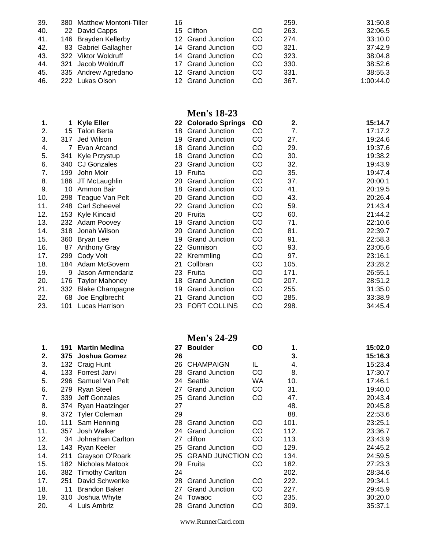| 39. | 380 Matthew Montoni-Tiller | 16 |                   |           | 259. | 31:50.8   |
|-----|----------------------------|----|-------------------|-----------|------|-----------|
| 40. | 22 David Capps             |    | 15 Clifton        | CO        | 263. | 32:06.5   |
| 41. | 146 Brayden Kellerby       |    | 12 Grand Junction | CO        | 274. | 33:10.0   |
| 42. | 83 Gabriel Gallagher       |    | 14 Grand Junction | <b>CO</b> | 321. | 37:42.9   |
| 43. | 322 Viktor Woldruff        |    | 14 Grand Junction | <b>CO</b> | 323. | 38:04.8   |
| 44. | 321 Jacob Woldruff         |    | 17 Grand Junction | CO        | 330. | 38:52.6   |
| 45. | 335 Andrew Agredano        |    | 12 Grand Junction | CO        | 331. | 38:55.3   |
| 46. | 222 Lukas Olson            |    | 12 Grand Junction | CO        | 367. | 1:00:44.0 |

#### **Men's 18-23**

| 1.  |     | <b>Kyle Eller</b>      |     | 22 Colorado Springs   | $\mathbf{co}$ | 2.   | 15:14.7 |
|-----|-----|------------------------|-----|-----------------------|---------------|------|---------|
| 2.  | 15  | <b>Talon Berta</b>     | 18. | <b>Grand Junction</b> | CO            | 7.   | 17:17.2 |
| 3.  | 317 | Jed Wilson             | 19  | <b>Grand Junction</b> | CO            | 27.  | 19:24.6 |
| 4.  |     | 7 Evan Arcand          | 18  | <b>Grand Junction</b> | CO            | 29.  | 19:37.6 |
| 5.  | 341 | Kyle Przystup          | 18  | <b>Grand Junction</b> | CO            | 30.  | 19:38.2 |
| 6.  | 340 | <b>CJ Gonzales</b>     |     | 23 Grand Junction     | CO            | 32.  | 19:43.9 |
| 7.  | 199 | John Moir              | 19  | Fruita                | CO            | 35.  | 19:47.4 |
| 8.  | 186 | JT McLaughlin          | 20  | <b>Grand Junction</b> | CO            | 37.  | 20:00.1 |
| 9.  | 10  | Ammon Bair             |     | 18 Grand Junction     | CO            | 41.  | 20:19.5 |
| 10. | 298 | Teague Van Pelt        | 20  | <b>Grand Junction</b> | CO            | 43.  | 20:26.4 |
| 11. | 248 | <b>Carl Scheevel</b>   | 22  | <b>Grand Junction</b> | CO            | 59.  | 21:43.4 |
| 12. |     | 153 Kyle Kincaid       |     | 20 Fruita             | CO            | 60.  | 21:44.2 |
| 13. |     | 232 Adam Poovey        | 19  | <b>Grand Junction</b> | CO            | 71.  | 22:10.6 |
| 14. | 318 | Jonah Wilson           | 20  | <b>Grand Junction</b> | CO            | 81.  | 22:39.7 |
| 15. |     | 360 Bryan Lee          | 19  | <b>Grand Junction</b> | CO            | 91.  | 22:58.3 |
| 16. | 87  | <b>Anthony Gray</b>    | 22  | Gunnison              | CO            | 93.  | 23:05.6 |
| 17. | 299 | Cody Volt              | 22  | Kremmling             | CO            | 97.  | 23:16.1 |
| 18. |     | 184 Adam McGovern      | 21  | Collbran              | CO            | 105. | 23:28.2 |
| 19. | 9   | Jason Armendariz       | 23  | Fruita                | CO            | 171. | 26:55.1 |
| 20. | 176 | <b>Taylor Mahoney</b>  |     | 18 Grand Junction     | CO            | 207. | 28:51.2 |
| 21. | 332 | <b>Blake Champagne</b> | 19  | <b>Grand Junction</b> | CO            | 255. | 31:35.0 |
| 22. | 68  | Joe Englbrecht         | 21  | <b>Grand Junction</b> | CO            | 285. | 33:38.9 |
| 23. | 101 | Lucas Harrison         |     | 23 FORT COLLINS       | CO            | 298. | 34:45.4 |

#### **Men's 24-29**

| 27 | <b>Boulder</b>        | CO | 1.   | 15:02.0 |
|----|-----------------------|----|------|---------|
| 26 |                       |    | 3.   | 15:16.3 |
| 26 | <b>CHAMPAIGN</b>      | IL | 4.   | 15:23.4 |
| 28 | <b>Grand Junction</b> | CO | 8.   | 17:30.7 |
| 24 | Seattle               | WA | 10.  | 17:46.1 |
| 27 | <b>Grand Junction</b> | CO | 31.  | 19:40.0 |
| 25 | <b>Grand Junction</b> | CO | 47.  | 20:43.4 |
| 27 |                       |    | 48.  | 20:45.8 |
| 29 |                       |    | 88.  | 22:53.6 |
| 28 | <b>Grand Junction</b> | CO | 101. | 23:25.1 |
| 24 | <b>Grand Junction</b> | CO | 112. | 23:36.7 |
| 27 | clifton               | CO | 113. | 23:43.9 |
| 25 | <b>Grand Junction</b> | CO | 129. | 24:45.2 |
| 25 | <b>GRAND JUNCTION</b> | CO | 134. | 24:59.5 |
| 29 | Fruita                | CO | 182. | 27:23.3 |
| 24 |                       |    | 202. | 28:34.6 |
| 28 | <b>Grand Junction</b> | CO | 222. | 29:34.1 |
| 27 | <b>Grand Junction</b> | CO | 227. | 29:45.9 |
| 24 | Towaoc                | CO | 235. | 30:20.0 |
| 28 | <b>Grand Junction</b> | CO | 309. | 35:37.1 |
|    |                       |    |      |         |

#### **2. 375 Joshua Gomez 26 3. 15:16.3** 3. 132 Craig Hunt 4. 133 Forrest Jarvi 5. 296 Samuel Van Pelt 6. 279 Ryan Steel 7. 339 Jeff Gonzales 8. 374 Ryan Haatzinger 9. 372 Tyler Coleman 10. 111 Sam Henning 11. 357 Josh Walker 12. 34 Johnathan Carlton 13. 143 Ryan Keeler 14. 211 Grayson O'Roark 15. 182 Nicholas Matook 16. 382 Timothy Carlton 17. 251 David Schwenke 18. 11 Brandon Baker 19. 310 Joshua Whyte

**1. 191 Martin Medina 27 Boulder CO 1. 15:02.0**

20. 4 Luis Ambriz

www.RunnerCard.com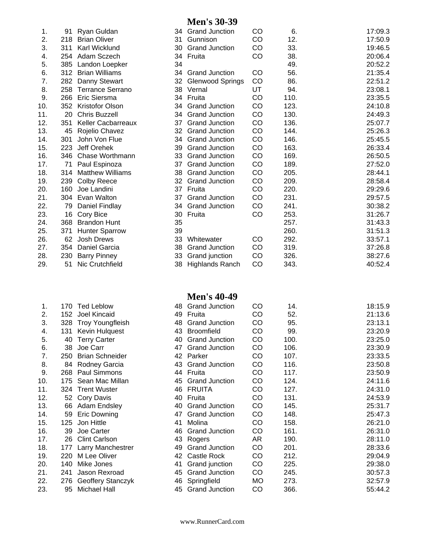#### **Men's 30-39**

| 1.  | 91  | Ryan Guldan               | 34 | <b>Grand Junction</b>   | CO | 6.   | 17:09.3 |
|-----|-----|---------------------------|----|-------------------------|----|------|---------|
| 2.  | 218 | <b>Brian Oliver</b>       | 31 | Gunnison                | CO | 12.  | 17:50.9 |
| 3.  | 311 | <b>Karl Wicklund</b>      | 30 | <b>Grand Junction</b>   | CO | 33.  | 19:46.5 |
| 4.  |     | 254 Adam Sczech           |    | 34 Fruita               | CO | 38.  | 20:06.4 |
| 5.  |     | 385 Landon Loepker        | 34 |                         |    | 49.  | 20:52.2 |
| 6.  |     | 312 Brian Williams        | 34 | <b>Grand Junction</b>   | CO | 56.  | 21:35.4 |
| 7.  |     | 282 Danny Stewart         | 32 | <b>Glenwood Springs</b> | CO | 86.  | 22:51.2 |
| 8.  | 258 | <b>Terrance Serrano</b>   |    | 38 Vernal               | UT | 94.  | 23:08.1 |
| 9.  | 266 | Eric Siersma              |    | 34 Fruita               | CO | 110. | 23:35.5 |
| 10. |     | 352 Kristofor Olson       | 34 | <b>Grand Junction</b>   | CO | 123. | 24:10.8 |
| 11. | 20  | <b>Chris Buzzell</b>      | 34 | <b>Grand Junction</b>   | CO | 130. | 24:49.3 |
| 12. | 351 | <b>Keller Cacbarreaux</b> | 37 | <b>Grand Junction</b>   | CO | 136. | 25:07.7 |
| 13. | 45  | Rojelio Chavez            | 32 | <b>Grand Junction</b>   | CO | 144. | 25:26.3 |
| 14. | 301 | John Von Flue             | 34 | <b>Grand Junction</b>   | CO | 146. | 25:45.5 |
| 15. | 223 | Jeff Orehek               | 39 | <b>Grand Junction</b>   | CO | 163. | 26:33.4 |
| 16. | 346 | Chase Worthmann           | 33 | <b>Grand Junction</b>   | CO | 169. | 26:50.5 |
| 17. | 71  | Paul Espinoza             | 37 | <b>Grand Junction</b>   | CO | 189. | 27:52.0 |
| 18. | 314 | <b>Matthew Williams</b>   | 38 | <b>Grand Junction</b>   | CO | 205. | 28:44.1 |
| 19. | 239 | <b>Colby Reece</b>        | 32 | <b>Grand Junction</b>   | CO | 209. | 28:58.4 |
| 20. | 160 | Joe Landini               | 37 | Fruita                  | CO | 220. | 29:29.6 |
| 21. |     | 304 Evan Walton           | 37 | <b>Grand Junction</b>   | CO | 231. | 29:57.5 |
| 22. | 79  | Daniel Findlay            | 34 | <b>Grand Junction</b>   | CO | 241. | 30:38.2 |
| 23. | 16  | Cory Bice                 | 30 | Fruita                  | CO | 253. | 31:26.7 |
| 24. | 368 | <b>Brandon Hunt</b>       | 35 |                         |    | 257. | 31:43.3 |
| 25. | 371 | <b>Hunter Sparrow</b>     | 39 |                         |    | 260. | 31:51.3 |
| 26. | 62  | Josh Drews                | 33 | Whitewater              | CO | 292. | 33:57.1 |
| 27. | 354 | Daniel Garcia             | 38 | <b>Grand Junction</b>   | CO | 319. | 37:26.8 |
| 28. | 230 | <b>Barry Pinney</b>       | 33 | Grand junction          | CO | 326. | 38:27.6 |
| 29. | 51  | Nic Crutchfield           | 38 | <b>Highlands Ranch</b>  | CO | 343. | 40:52.4 |

|     |                 |                         |    | <b>Men's 40-49</b>    |    |      |         |
|-----|-----------------|-------------------------|----|-----------------------|----|------|---------|
| 1.  | 170             | <b>Ted Leblow</b>       | 48 | <b>Grand Junction</b> | CO | 14.  | 18:15.9 |
| 2.  | 152             | Joel Kincaid            |    | 49 Fruita             | CO | 52.  | 21:13.6 |
| 3.  | 328             | <b>Troy Youngfleish</b> | 48 | <b>Grand Junction</b> | CO | 95.  | 23:13.1 |
| 4.  | 131             | Kevin Hulquest          | 43 | <b>Broomfield</b>     | CO | 99.  | 23:20.9 |
| 5.  | 40              | <b>Terry Carter</b>     | 40 | <b>Grand Junction</b> | CO | 100. | 23:25.0 |
| 6.  | 38              | Joe Carr                | 47 | <b>Grand Junction</b> | CO | 106. | 23:30.9 |
| 7.  | 250             | <b>Brian Schneider</b>  |    | 42 Parker             | CO | 107. | 23:33.5 |
| 8.  | 84              | Rodney Garcia           |    | 43 Grand Junction     | CO | 116. | 23:50.8 |
| 9.  | 268             | Paul Simmons            | 44 | Fruita                | CO | 117. | 23:50.9 |
| 10. | 175             | Sean Mac Millan         | 45 | <b>Grand Junction</b> | CO | 124. | 24:11.6 |
| 11. | 324             | <b>Trent Wuster</b>     | 46 | <b>FRUITA</b>         | CO | 127. | 24:31.0 |
| 12. | 52 <sub>2</sub> | Cory Davis              | 40 | Fruita                | CO | 131. | 24:53.9 |
| 13. | 66              | Adam Endsley            | 40 | <b>Grand Junction</b> | CO | 145. | 25:31.7 |
| 14. | 59              | <b>Eric Downing</b>     | 47 | <b>Grand Junction</b> | CO | 148. | 25:47.3 |
| 15. | 125             | Jon Hittle              | 41 | Molina                | CO | 158. | 26:21.0 |
| 16. | 39              | Joe Carter              | 46 | <b>Grand Junction</b> | CO | 161. | 26:31.0 |
| 17. | 26              | <b>Clint Carlson</b>    | 43 | Rogers                | AR | 190. | 28:11.0 |
| 18. | 177             | Larry Manchestrer       | 49 | <b>Grand Junction</b> | CO | 201. | 28:33.6 |
| 19. | 220             | M Lee Oliver            | 42 | Castle Rock           | CO | 212. | 29:04.9 |
| 20. | 140             | Mike Jones              | 41 | Grand junction        | CO | 225. | 29:38.0 |
| 21. | 241             | Jason Rexroad           | 45 | <b>Grand Junction</b> | CO | 245. | 30:57.3 |
| 22. | 276             | Geoffery Stanczyk       |    | 46 Springfield        | MO | 273. | 32:57.9 |
| 23. | 95              | Michael Hall            | 45 | <b>Grand Junction</b> | CO | 366. | 55:44.2 |
|     |                 |                         |    |                       |    |      |         |